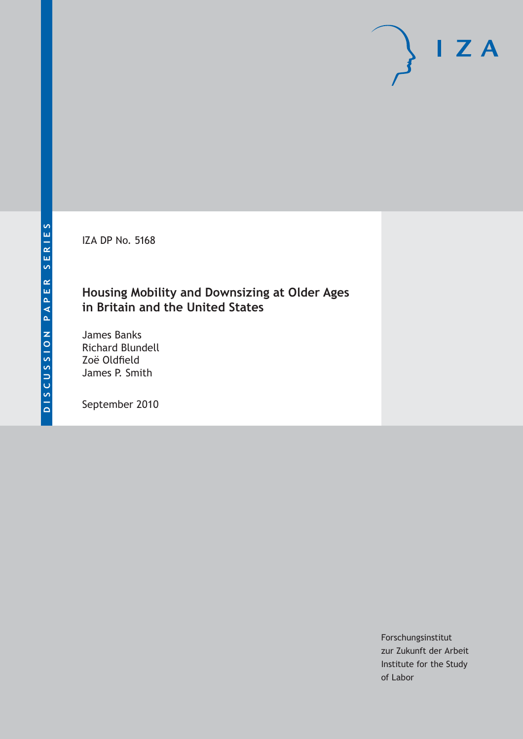IZA DP No. 5168

# **Housing Mobility and Downsizing at Older Ages in Britain and the United States**

James Banks Richard Blundell Zoë Oldfield James P. Smith

September 2010

Forschungsinstitut zur Zukunft der Arbeit Institute for the Study of Labor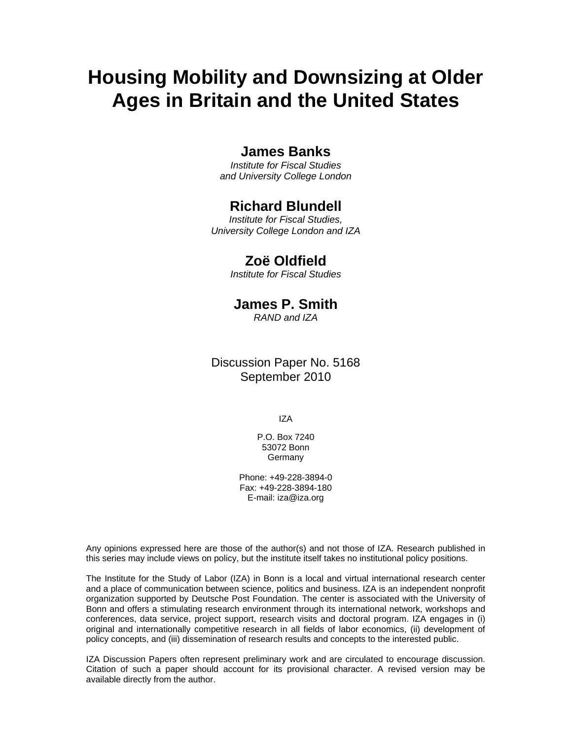# **Housing Mobility and Downsizing at Older Ages in Britain and the United States**

### **James Banks**

*Institute for Fiscal Studies and University College London* 

### **Richard Blundell**

*Institute for Fiscal Studies, University College London and IZA* 

### **Zoë Oldfield**

*Institute for Fiscal Studies* 

### **James P. Smith**

*RAND and IZA*

### Discussion Paper No. 5168 September 2010

IZA

P.O. Box 7240 53072 Bonn Germany

Phone: +49-228-3894-0 Fax: +49-228-3894-180 E-mail: iza@iza.org

Any opinions expressed here are those of the author(s) and not those of IZA. Research published in this series may include views on policy, but the institute itself takes no institutional policy positions.

The Institute for the Study of Labor (IZA) in Bonn is a local and virtual international research center and a place of communication between science, politics and business. IZA is an independent nonprofit organization supported by Deutsche Post Foundation. The center is associated with the University of Bonn and offers a stimulating research environment through its international network, workshops and conferences, data service, project support, research visits and doctoral program. IZA engages in (i) original and internationally competitive research in all fields of labor economics, (ii) development of policy concepts, and (iii) dissemination of research results and concepts to the interested public.

IZA Discussion Papers often represent preliminary work and are circulated to encourage discussion. Citation of such a paper should account for its provisional character. A revised version may be available directly from the author.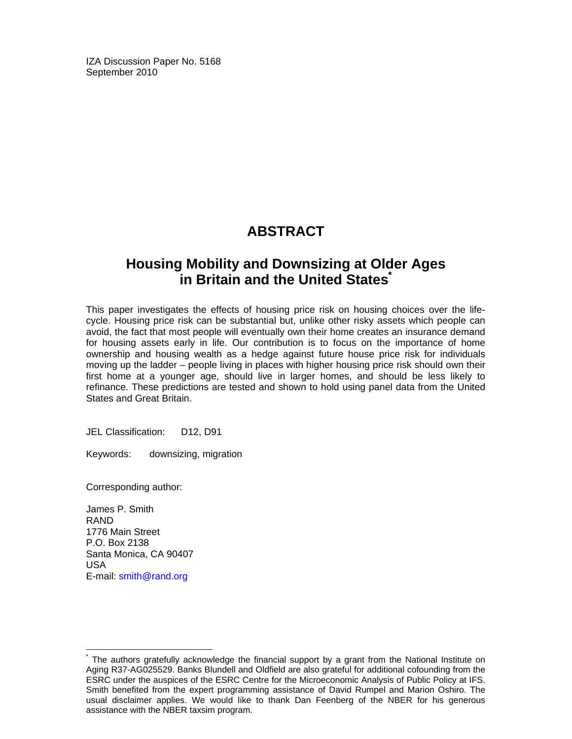IZA Discussion Paper No. 5168 September 2010

# **ABSTRACT**

## **Housing Mobility and Downsizing at Older Ages in Britain and the United States**

This paper investigates the effects of housing price risk on housing choices over the lifecycle. Housing price risk can be substantial but, unlike other risky assets which people can avoid, the fact that most people will eventually own their home creates an insurance demand for housing assets early in life. Our contribution is to focus on the importance of home ownership and housing wealth as a hedge against future house price risk for individuals moving up the ladder – people living in places with higher housing price risk should own their first home at a younger age, should live in larger homes, and should be less likely to refinance. These predictions are tested and shown to hold using panel data from the United States and Great Britain.

JEL Classification: D12, D91

Keywords: downsizing, migration

Corresponding author:

James P. Smith RAND 1776 Main Street P.O. Box 2138 Santa Monica, CA 90407 USA E-mail: smith@rand.org

-

<sup>\*</sup> The authors gratefully acknowledge the financial support by a grant from the National Institute on Aging R37-AG025529. Banks Blundell and Oldfield are also grateful for additional cofounding from the ESRC under the auspices of the ESRC Centre for the Microeconomic Analysis of Public Policy at IFS. Smith benefited from the expert programming assistance of David Rumpel and Marion Oshiro. The usual disclaimer applies. We would like to thank Dan Feenberg of the NBER for his generous assistance with the NBER taxsim program.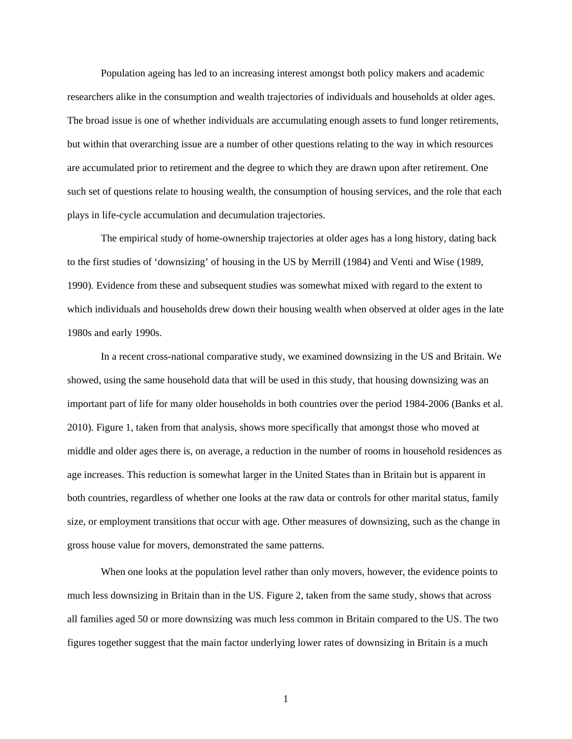Population ageing has led to an increasing interest amongst both policy makers and academic researchers alike in the consumption and wealth trajectories of individuals and households at older ages. The broad issue is one of whether individuals are accumulating enough assets to fund longer retirements, but within that overarching issue are a number of other questions relating to the way in which resources are accumulated prior to retirement and the degree to which they are drawn upon after retirement. One such set of questions relate to housing wealth, the consumption of housing services, and the role that each plays in life-cycle accumulation and decumulation trajectories.

 The empirical study of home-ownership trajectories at older ages has a long history, dating back to the first studies of 'downsizing' of housing in the US by Merrill (1984) and Venti and Wise (1989, 1990). Evidence from these and subsequent studies was somewhat mixed with regard to the extent to which individuals and households drew down their housing wealth when observed at older ages in the late 1980s and early 1990s.

 In a recent cross-national comparative study, we examined downsizing in the US and Britain. We showed, using the same household data that will be used in this study, that housing downsizing was an important part of life for many older households in both countries over the period 1984-2006 (Banks et al. 2010). Figure 1, taken from that analysis, shows more specifically that amongst those who moved at middle and older ages there is, on average, a reduction in the number of rooms in household residences as age increases. This reduction is somewhat larger in the United States than in Britain but is apparent in both countries, regardless of whether one looks at the raw data or controls for other marital status, family size, or employment transitions that occur with age. Other measures of downsizing, such as the change in gross house value for movers, demonstrated the same patterns.

When one looks at the population level rather than only movers, however, the evidence points to much less downsizing in Britain than in the US. Figure 2, taken from the same study, shows that across all families aged 50 or more downsizing was much less common in Britain compared to the US. The two figures together suggest that the main factor underlying lower rates of downsizing in Britain is a much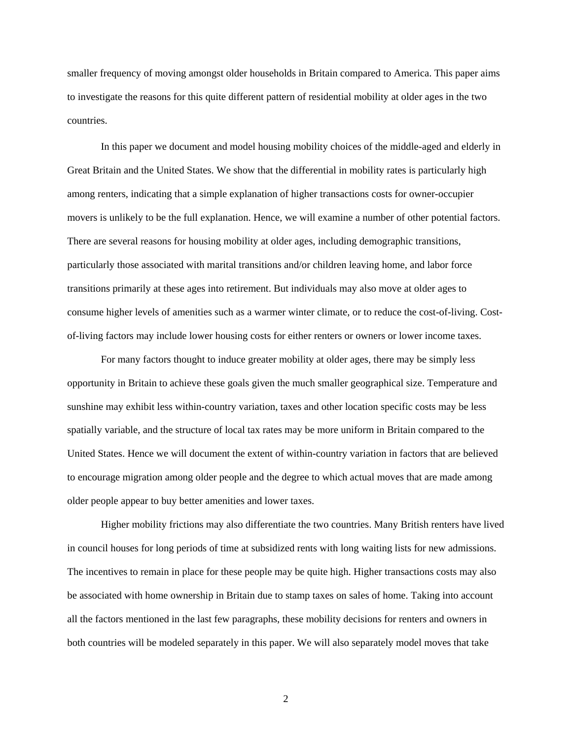smaller frequency of moving amongst older households in Britain compared to America. This paper aims to investigate the reasons for this quite different pattern of residential mobility at older ages in the two countries.

In this paper we document and model housing mobility choices of the middle-aged and elderly in Great Britain and the United States. We show that the differential in mobility rates is particularly high among renters, indicating that a simple explanation of higher transactions costs for owner-occupier movers is unlikely to be the full explanation. Hence, we will examine a number of other potential factors. There are several reasons for housing mobility at older ages, including demographic transitions, particularly those associated with marital transitions and/or children leaving home, and labor force transitions primarily at these ages into retirement. But individuals may also move at older ages to consume higher levels of amenities such as a warmer winter climate, or to reduce the cost-of-living. Costof-living factors may include lower housing costs for either renters or owners or lower income taxes.

 For many factors thought to induce greater mobility at older ages, there may be simply less opportunity in Britain to achieve these goals given the much smaller geographical size. Temperature and sunshine may exhibit less within-country variation, taxes and other location specific costs may be less spatially variable, and the structure of local tax rates may be more uniform in Britain compared to the United States. Hence we will document the extent of within-country variation in factors that are believed to encourage migration among older people and the degree to which actual moves that are made among older people appear to buy better amenities and lower taxes.

 Higher mobility frictions may also differentiate the two countries. Many British renters have lived in council houses for long periods of time at subsidized rents with long waiting lists for new admissions. The incentives to remain in place for these people may be quite high. Higher transactions costs may also be associated with home ownership in Britain due to stamp taxes on sales of home. Taking into account all the factors mentioned in the last few paragraphs, these mobility decisions for renters and owners in both countries will be modeled separately in this paper. We will also separately model moves that take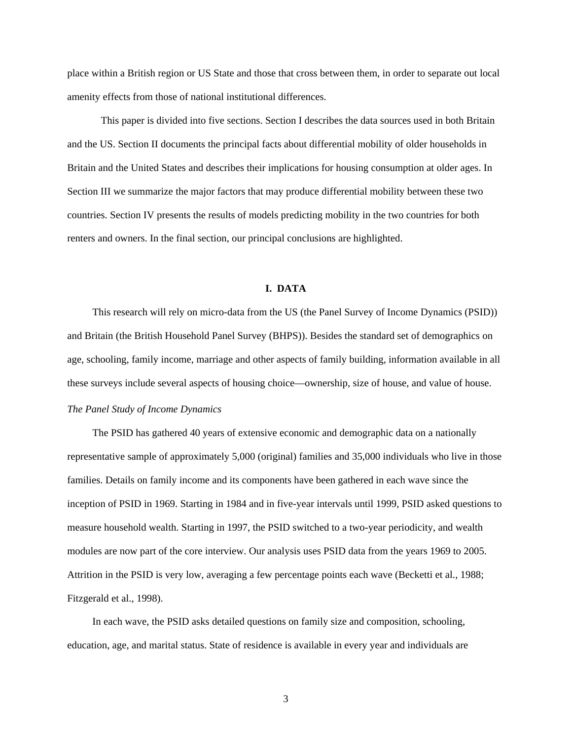place within a British region or US State and those that cross between them, in order to separate out local amenity effects from those of national institutional differences.

This paper is divided into five sections. Section I describes the data sources used in both Britain and the US. Section II documents the principal facts about differential mobility of older households in Britain and the United States and describes their implications for housing consumption at older ages. In Section III we summarize the major factors that may produce differential mobility between these two countries. Section IV presents the results of models predicting mobility in the two countries for both renters and owners. In the final section, our principal conclusions are highlighted.

#### **I. DATA**

This research will rely on micro-data from the US (the Panel Survey of Income Dynamics (PSID)) and Britain (the British Household Panel Survey (BHPS)). Besides the standard set of demographics on age, schooling, family income, marriage and other aspects of family building, information available in all these surveys include several aspects of housing choice—ownership, size of house, and value of house.

#### *The Panel Study of Income Dynamics*

The PSID has gathered 40 years of extensive economic and demographic data on a nationally representative sample of approximately 5,000 (original) families and 35,000 individuals who live in those families. Details on family income and its components have been gathered in each wave since the inception of PSID in 1969. Starting in 1984 and in five-year intervals until 1999, PSID asked questions to measure household wealth. Starting in 1997, the PSID switched to a two-year periodicity, and wealth modules are now part of the core interview. Our analysis uses PSID data from the years 1969 to 2005. Attrition in the PSID is very low, averaging a few percentage points each wave (Becketti et al., 1988; Fitzgerald et al., 1998).

In each wave, the PSID asks detailed questions on family size and composition, schooling, education, age, and marital status. State of residence is available in every year and individuals are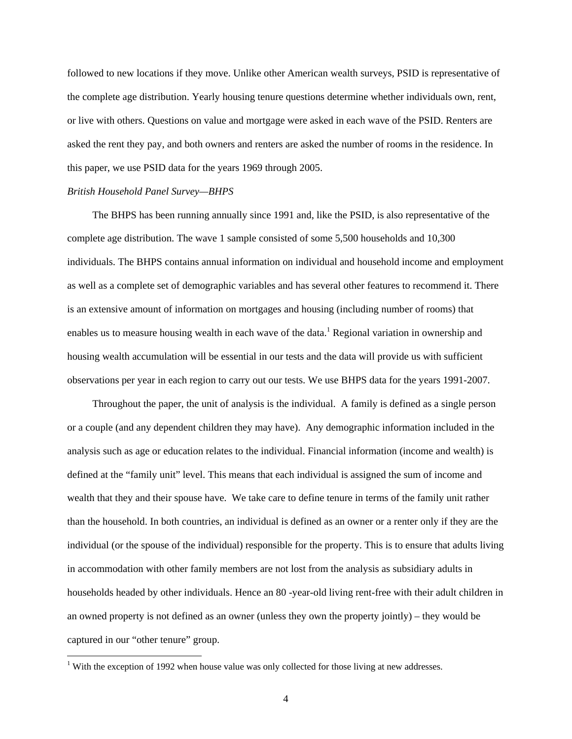followed to new locations if they move. Unlike other American wealth surveys, PSID is representative of the complete age distribution. Yearly housing tenure questions determine whether individuals own, rent, or live with others. Questions on value and mortgage were asked in each wave of the PSID. Renters are asked the rent they pay, and both owners and renters are asked the number of rooms in the residence. In this paper, we use PSID data for the years 1969 through 2005.

#### *British Household Panel Survey—BHPS*

The BHPS has been running annually since 1991 and, like the PSID, is also representative of the complete age distribution. The wave 1 sample consisted of some 5,500 households and 10,300 individuals. The BHPS contains annual information on individual and household income and employment as well as a complete set of demographic variables and has several other features to recommend it. There is an extensive amount of information on mortgages and housing (including number of rooms) that enables us to measure housing wealth in each wave of the data.<sup>1</sup> Regional variation in ownership and housing wealth accumulation will be essential in our tests and the data will provide us with sufficient observations per year in each region to carry out our tests. We use BHPS data for the years 1991-2007.

Throughout the paper, the unit of analysis is the individual. A family is defined as a single person or a couple (and any dependent children they may have). Any demographic information included in the analysis such as age or education relates to the individual. Financial information (income and wealth) is defined at the "family unit" level. This means that each individual is assigned the sum of income and wealth that they and their spouse have. We take care to define tenure in terms of the family unit rather than the household. In both countries, an individual is defined as an owner or a renter only if they are the individual (or the spouse of the individual) responsible for the property. This is to ensure that adults living in accommodation with other family members are not lost from the analysis as subsidiary adults in households headed by other individuals. Hence an 80 -year-old living rent-free with their adult children in an owned property is not defined as an owner (unless they own the property jointly) – they would be captured in our "other tenure" group.

<sup>&</sup>lt;sup>1</sup> With the exception of 1992 when house value was only collected for those living at new addresses.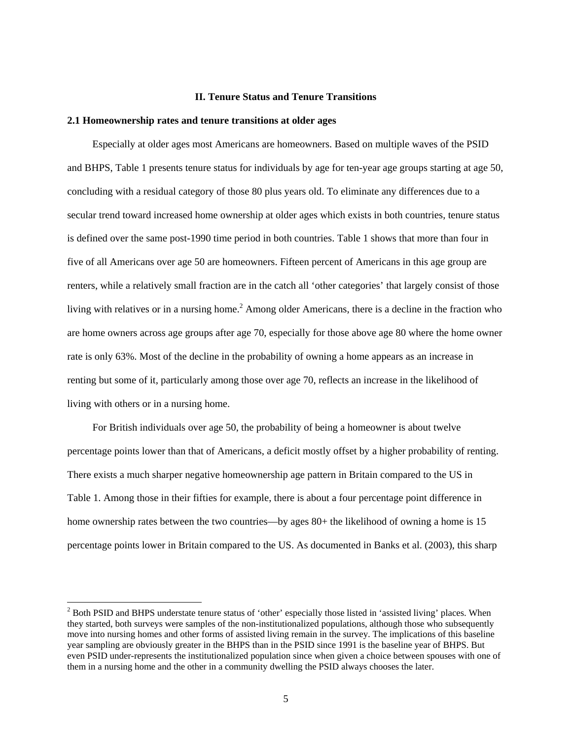#### **II. Tenure Status and Tenure Transitions**

#### **2.1 Homeownership rates and tenure transitions at older ages**

Especially at older ages most Americans are homeowners. Based on multiple waves of the PSID and BHPS, Table 1 presents tenure status for individuals by age for ten-year age groups starting at age 50, concluding with a residual category of those 80 plus years old. To eliminate any differences due to a secular trend toward increased home ownership at older ages which exists in both countries, tenure status is defined over the same post-1990 time period in both countries. Table 1 shows that more than four in five of all Americans over age 50 are homeowners. Fifteen percent of Americans in this age group are renters, while a relatively small fraction are in the catch all 'other categories' that largely consist of those living with relatives or in a nursing home.<sup>2</sup> Among older Americans, there is a decline in the fraction who are home owners across age groups after age 70, especially for those above age 80 where the home owner rate is only 63%. Most of the decline in the probability of owning a home appears as an increase in renting but some of it, particularly among those over age 70, reflects an increase in the likelihood of living with others or in a nursing home.

For British individuals over age 50, the probability of being a homeowner is about twelve percentage points lower than that of Americans, a deficit mostly offset by a higher probability of renting. There exists a much sharper negative homeownership age pattern in Britain compared to the US in Table 1. Among those in their fifties for example, there is about a four percentage point difference in home ownership rates between the two countries—by ages 80+ the likelihood of owning a home is 15 percentage points lower in Britain compared to the US. As documented in Banks et al. (2003), this sharp

 $\overline{a}$ 

 $2^{2}$  Both PSID and BHPS understate tenure status of 'other' especially those listed in 'assisted living' places. When they started, both surveys were samples of the non-institutionalized populations, although those who subsequently move into nursing homes and other forms of assisted living remain in the survey. The implications of this baseline year sampling are obviously greater in the BHPS than in the PSID since 1991 is the baseline year of BHPS. But even PSID under-represents the institutionalized population since when given a choice between spouses with one of them in a nursing home and the other in a community dwelling the PSID always chooses the later.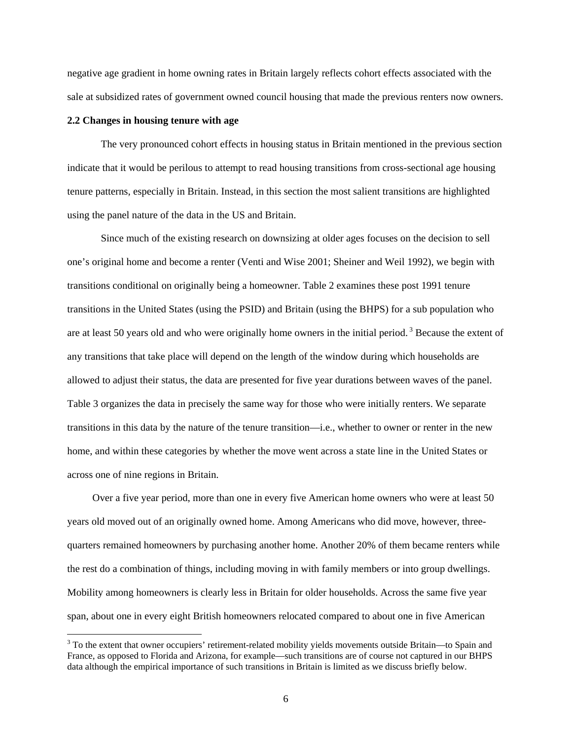negative age gradient in home owning rates in Britain largely reflects cohort effects associated with the sale at subsidized rates of government owned council housing that made the previous renters now owners.

#### **2.2 Changes in housing tenure with age**

 $\overline{a}$ 

The very pronounced cohort effects in housing status in Britain mentioned in the previous section indicate that it would be perilous to attempt to read housing transitions from cross-sectional age housing tenure patterns, especially in Britain. Instead, in this section the most salient transitions are highlighted using the panel nature of the data in the US and Britain.

Since much of the existing research on downsizing at older ages focuses on the decision to sell one's original home and become a renter (Venti and Wise 2001; Sheiner and Weil 1992), we begin with transitions conditional on originally being a homeowner. Table 2 examines these post 1991 tenure transitions in the United States (using the PSID) and Britain (using the BHPS) for a sub population who are at least 50 years old and who were originally home owners in the initial period.<sup>3</sup> Because the extent of any transitions that take place will depend on the length of the window during which households are allowed to adjust their status, the data are presented for five year durations between waves of the panel. Table 3 organizes the data in precisely the same way for those who were initially renters. We separate transitions in this data by the nature of the tenure transition—i.e., whether to owner or renter in the new home, and within these categories by whether the move went across a state line in the United States or across one of nine regions in Britain.

Over a five year period, more than one in every five American home owners who were at least 50 years old moved out of an originally owned home. Among Americans who did move, however, threequarters remained homeowners by purchasing another home. Another 20% of them became renters while the rest do a combination of things, including moving in with family members or into group dwellings. Mobility among homeowners is clearly less in Britain for older households. Across the same five year span, about one in every eight British homeowners relocated compared to about one in five American

 $3$  To the extent that owner occupiers' retirement-related mobility yields movements outside Britain—to Spain and France, as opposed to Florida and Arizona, for example—such transitions are of course not captured in our BHPS data although the empirical importance of such transitions in Britain is limited as we discuss briefly below.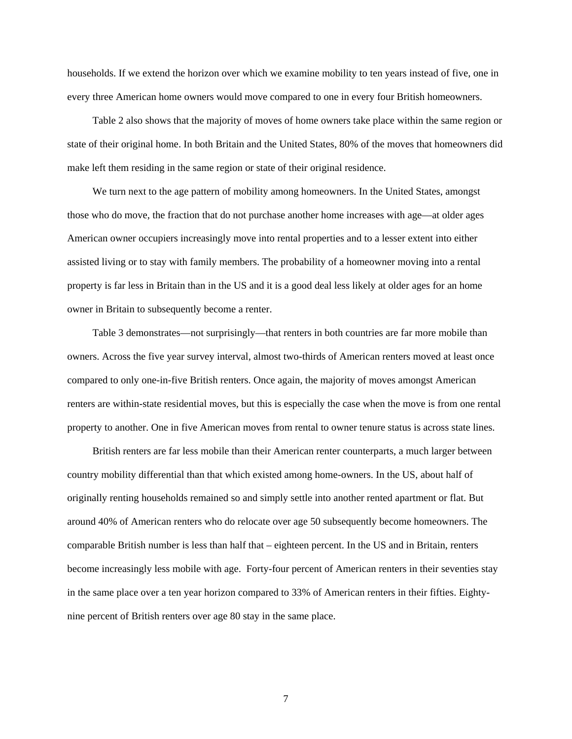households. If we extend the horizon over which we examine mobility to ten years instead of five, one in every three American home owners would move compared to one in every four British homeowners.

Table 2 also shows that the majority of moves of home owners take place within the same region or state of their original home. In both Britain and the United States, 80% of the moves that homeowners did make left them residing in the same region or state of their original residence.

We turn next to the age pattern of mobility among homeowners. In the United States, amongst those who do move, the fraction that do not purchase another home increases with age—at older ages American owner occupiers increasingly move into rental properties and to a lesser extent into either assisted living or to stay with family members. The probability of a homeowner moving into a rental property is far less in Britain than in the US and it is a good deal less likely at older ages for an home owner in Britain to subsequently become a renter.

Table 3 demonstrates—not surprisingly—that renters in both countries are far more mobile than owners. Across the five year survey interval, almost two-thirds of American renters moved at least once compared to only one-in-five British renters. Once again, the majority of moves amongst American renters are within-state residential moves, but this is especially the case when the move is from one rental property to another. One in five American moves from rental to owner tenure status is across state lines.

British renters are far less mobile than their American renter counterparts, a much larger between country mobility differential than that which existed among home-owners. In the US, about half of originally renting households remained so and simply settle into another rented apartment or flat. But around 40% of American renters who do relocate over age 50 subsequently become homeowners. The comparable British number is less than half that – eighteen percent. In the US and in Britain, renters become increasingly less mobile with age. Forty-four percent of American renters in their seventies stay in the same place over a ten year horizon compared to 33% of American renters in their fifties. Eightynine percent of British renters over age 80 stay in the same place.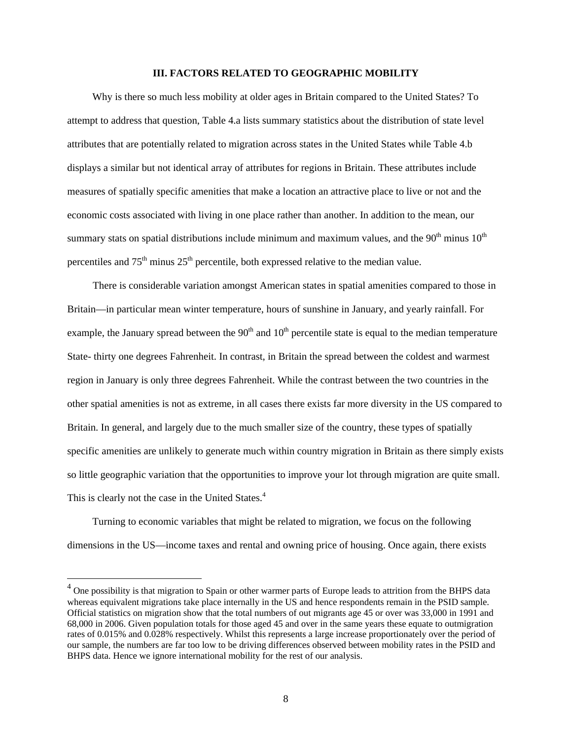#### **III. FACTORS RELATED TO GEOGRAPHIC MOBILITY**

Why is there so much less mobility at older ages in Britain compared to the United States? To attempt to address that question, Table 4.a lists summary statistics about the distribution of state level attributes that are potentially related to migration across states in the United States while Table 4.b displays a similar but not identical array of attributes for regions in Britain. These attributes include measures of spatially specific amenities that make a location an attractive place to live or not and the economic costs associated with living in one place rather than another. In addition to the mean, our summary stats on spatial distributions include minimum and maximum values, and the  $90<sup>th</sup>$  minus  $10<sup>th</sup>$ percentiles and  $75<sup>th</sup>$  minus  $25<sup>th</sup>$  percentile, both expressed relative to the median value.

There is considerable variation amongst American states in spatial amenities compared to those in Britain—in particular mean winter temperature, hours of sunshine in January, and yearly rainfall. For example, the January spread between the  $90<sup>th</sup>$  and  $10<sup>th</sup>$  percentile state is equal to the median temperature State- thirty one degrees Fahrenheit. In contrast, in Britain the spread between the coldest and warmest region in January is only three degrees Fahrenheit. While the contrast between the two countries in the other spatial amenities is not as extreme, in all cases there exists far more diversity in the US compared to Britain. In general, and largely due to the much smaller size of the country, these types of spatially specific amenities are unlikely to generate much within country migration in Britain as there simply exists so little geographic variation that the opportunities to improve your lot through migration are quite small. This is clearly not the case in the United States.<sup>4</sup>

Turning to economic variables that might be related to migration, we focus on the following dimensions in the US—income taxes and rental and owning price of housing. Once again, there exists

 $\overline{a}$ 

 $4$  One possibility is that migration to Spain or other warmer parts of Europe leads to attrition from the BHPS data whereas equivalent migrations take place internally in the US and hence respondents remain in the PSID sample. Official statistics on migration show that the total numbers of out migrants age 45 or over was 33,000 in 1991 and 68,000 in 2006. Given population totals for those aged 45 and over in the same years these equate to outmigration rates of 0.015% and 0.028% respectively. Whilst this represents a large increase proportionately over the period of our sample, the numbers are far too low to be driving differences observed between mobility rates in the PSID and BHPS data. Hence we ignore international mobility for the rest of our analysis.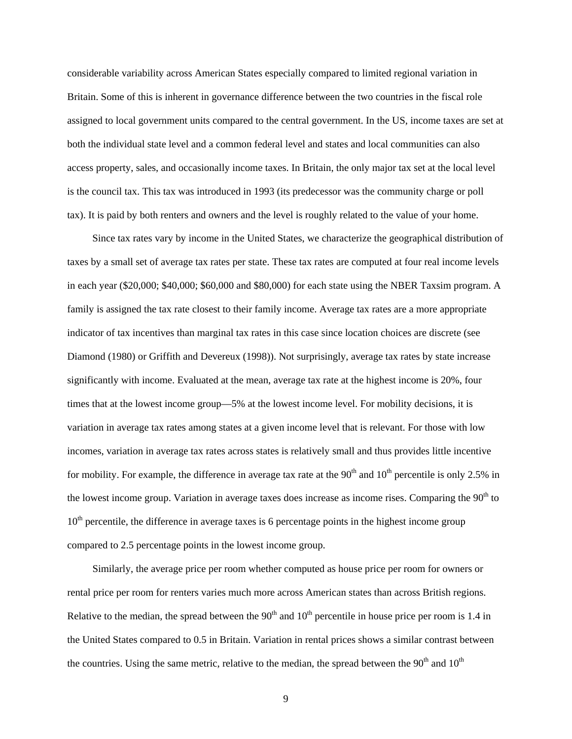considerable variability across American States especially compared to limited regional variation in Britain. Some of this is inherent in governance difference between the two countries in the fiscal role assigned to local government units compared to the central government. In the US, income taxes are set at both the individual state level and a common federal level and states and local communities can also access property, sales, and occasionally income taxes. In Britain, the only major tax set at the local level is the council tax. This tax was introduced in 1993 (its predecessor was the community charge or poll tax). It is paid by both renters and owners and the level is roughly related to the value of your home.

Since tax rates vary by income in the United States, we characterize the geographical distribution of taxes by a small set of average tax rates per state. These tax rates are computed at four real income levels in each year (\$20,000; \$40,000; \$60,000 and \$80,000) for each state using the NBER Taxsim program. A family is assigned the tax rate closest to their family income. Average tax rates are a more appropriate indicator of tax incentives than marginal tax rates in this case since location choices are discrete (see Diamond (1980) or Griffith and Devereux (1998)). Not surprisingly, average tax rates by state increase significantly with income. Evaluated at the mean, average tax rate at the highest income is 20%, four times that at the lowest income group—5% at the lowest income level. For mobility decisions, it is variation in average tax rates among states at a given income level that is relevant. For those with low incomes, variation in average tax rates across states is relatively small and thus provides little incentive for mobility. For example, the difference in average tax rate at the  $90<sup>th</sup>$  and  $10<sup>th</sup>$  percentile is only 2.5% in the lowest income group. Variation in average taxes does increase as income rises. Comparing the 90<sup>th</sup> to  $10<sup>th</sup>$  percentile, the difference in average taxes is 6 percentage points in the highest income group compared to 2.5 percentage points in the lowest income group.

Similarly, the average price per room whether computed as house price per room for owners or rental price per room for renters varies much more across American states than across British regions. Relative to the median, the spread between the  $90<sup>th</sup>$  and  $10<sup>th</sup>$  percentile in house price per room is 1.4 in the United States compared to 0.5 in Britain. Variation in rental prices shows a similar contrast between the countries. Using the same metric, relative to the median, the spread between the  $90<sup>th</sup>$  and  $10<sup>th</sup>$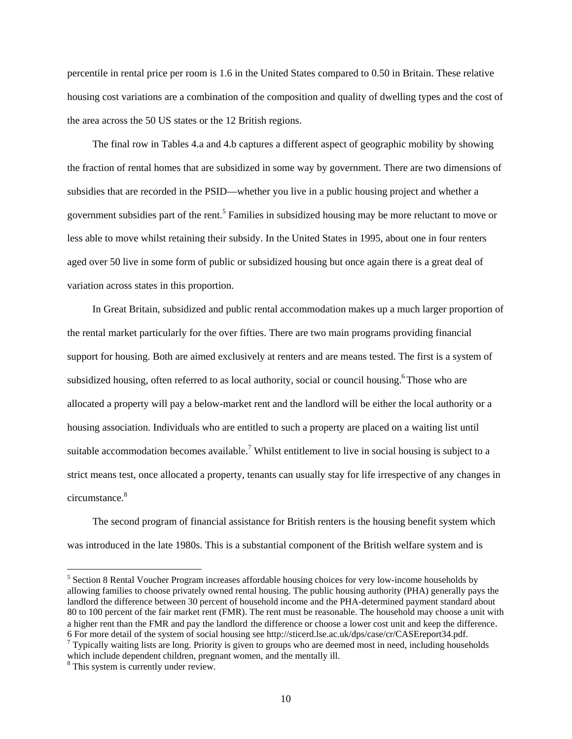percentile in rental price per room is 1.6 in the United States compared to 0.50 in Britain. These relative housing cost variations are a combination of the composition and quality of dwelling types and the cost of the area across the 50 US states or the 12 British regions.

The final row in Tables 4.a and 4.b captures a different aspect of geographic mobility by showing the fraction of rental homes that are subsidized in some way by government. There are two dimensions of subsidies that are recorded in the PSID—whether you live in a public housing project and whether a government subsidies part of the rent.<sup>5</sup> Families in subsidized housing may be more reluctant to move or less able to move whilst retaining their subsidy. In the United States in 1995, about one in four renters aged over 50 live in some form of public or subsidized housing but once again there is a great deal of variation across states in this proportion.

In Great Britain, subsidized and public rental accommodation makes up a much larger proportion of the rental market particularly for the over fifties. There are two main programs providing financial support for housing. Both are aimed exclusively at renters and are means tested. The first is a system of subsidized housing, often referred to as local authority, social or council housing.<sup>6</sup> Those who are allocated a property will pay a below-market rent and the landlord will be either the local authority or a housing association. Individuals who are entitled to such a property are placed on a waiting list until suitable accommodation becomes available.<sup>7</sup> Whilst entitlement to live in social housing is subject to a strict means test, once allocated a property, tenants can usually stay for life irrespective of any changes in circumstance.<sup>8</sup>

The second program of financial assistance for British renters is the housing benefit system which was introduced in the late 1980s. This is a substantial component of the British welfare system and is

 $\overline{a}$ 

<sup>&</sup>lt;sup>5</sup> Section 8 Rental Voucher Program increases affordable housing choices for very low-income households by allowing families to choose privately owned rental housing. The public housing authority (PHA) generally pays the landlord the difference between 30 percent of household income and the PHA-determined payment standard about 80 to 100 percent of the fair market rent (FMR). The rent must be reasonable. The household may choose a unit with a higher rent than the FMR and pay the landlord the difference or choose a lower cost unit and keep the difference. 6 For more detail of the system of social housing see http://sticerd.lse.ac.uk/dps/case/cr/CASEreport34.pdf. <sup>7</sup>

Typically waiting lists are long. Priority is given to groups who are deemed most in need, including households which include dependent children, pregnant women, and the mentally ill.

<sup>&</sup>lt;sup>8</sup> This system is currently under review.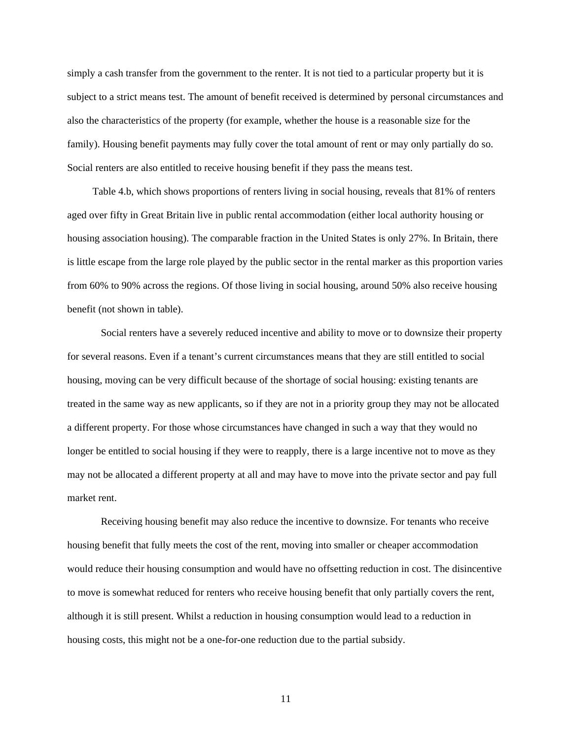simply a cash transfer from the government to the renter. It is not tied to a particular property but it is subject to a strict means test. The amount of benefit received is determined by personal circumstances and also the characteristics of the property (for example, whether the house is a reasonable size for the family). Housing benefit payments may fully cover the total amount of rent or may only partially do so. Social renters are also entitled to receive housing benefit if they pass the means test.

Table 4.b, which shows proportions of renters living in social housing, reveals that 81% of renters aged over fifty in Great Britain live in public rental accommodation (either local authority housing or housing association housing). The comparable fraction in the United States is only 27%. In Britain, there is little escape from the large role played by the public sector in the rental marker as this proportion varies from 60% to 90% across the regions. Of those living in social housing, around 50% also receive housing benefit (not shown in table).

 Social renters have a severely reduced incentive and ability to move or to downsize their property for several reasons. Even if a tenant's current circumstances means that they are still entitled to social housing, moving can be very difficult because of the shortage of social housing: existing tenants are treated in the same way as new applicants, so if they are not in a priority group they may not be allocated a different property. For those whose circumstances have changed in such a way that they would no longer be entitled to social housing if they were to reapply, there is a large incentive not to move as they may not be allocated a different property at all and may have to move into the private sector and pay full market rent.

 Receiving housing benefit may also reduce the incentive to downsize. For tenants who receive housing benefit that fully meets the cost of the rent, moving into smaller or cheaper accommodation would reduce their housing consumption and would have no offsetting reduction in cost. The disincentive to move is somewhat reduced for renters who receive housing benefit that only partially covers the rent, although it is still present. Whilst a reduction in housing consumption would lead to a reduction in housing costs, this might not be a one-for-one reduction due to the partial subsidy.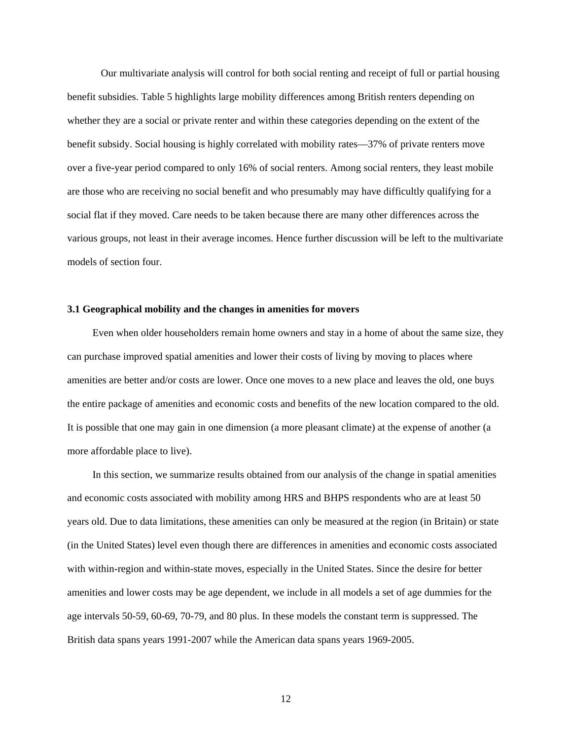Our multivariate analysis will control for both social renting and receipt of full or partial housing benefit subsidies. Table 5 highlights large mobility differences among British renters depending on whether they are a social or private renter and within these categories depending on the extent of the benefit subsidy. Social housing is highly correlated with mobility rates—37% of private renters move over a five-year period compared to only 16% of social renters. Among social renters, they least mobile are those who are receiving no social benefit and who presumably may have difficultly qualifying for a social flat if they moved. Care needs to be taken because there are many other differences across the various groups, not least in their average incomes. Hence further discussion will be left to the multivariate models of section four.

#### **3.1 Geographical mobility and the changes in amenities for movers**

Even when older householders remain home owners and stay in a home of about the same size, they can purchase improved spatial amenities and lower their costs of living by moving to places where amenities are better and/or costs are lower. Once one moves to a new place and leaves the old, one buys the entire package of amenities and economic costs and benefits of the new location compared to the old. It is possible that one may gain in one dimension (a more pleasant climate) at the expense of another (a more affordable place to live).

In this section, we summarize results obtained from our analysis of the change in spatial amenities and economic costs associated with mobility among HRS and BHPS respondents who are at least 50 years old. Due to data limitations, these amenities can only be measured at the region (in Britain) or state (in the United States) level even though there are differences in amenities and economic costs associated with within-region and within-state moves, especially in the United States. Since the desire for better amenities and lower costs may be age dependent, we include in all models a set of age dummies for the age intervals 50-59, 60-69, 70-79, and 80 plus. In these models the constant term is suppressed. The British data spans years 1991-2007 while the American data spans years 1969-2005.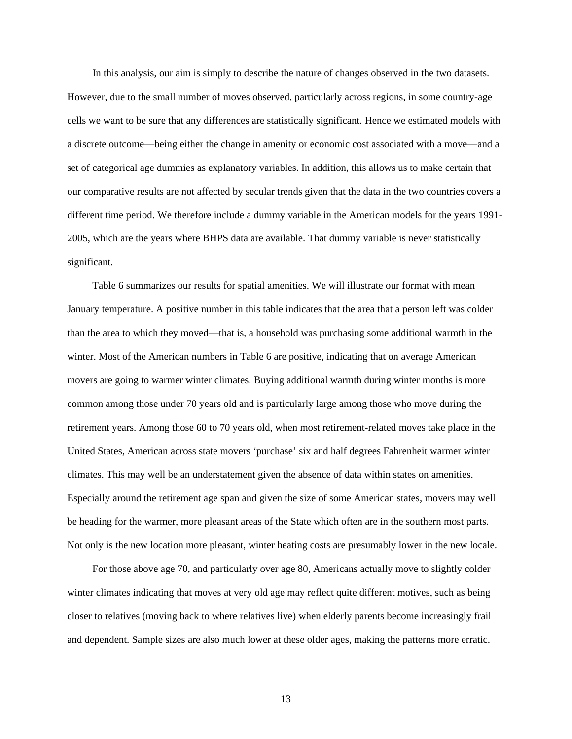In this analysis, our aim is simply to describe the nature of changes observed in the two datasets. However, due to the small number of moves observed, particularly across regions, in some country-age cells we want to be sure that any differences are statistically significant. Hence we estimated models with a discrete outcome—being either the change in amenity or economic cost associated with a move—and a set of categorical age dummies as explanatory variables. In addition, this allows us to make certain that our comparative results are not affected by secular trends given that the data in the two countries covers a different time period. We therefore include a dummy variable in the American models for the years 1991- 2005, which are the years where BHPS data are available. That dummy variable is never statistically significant.

Table 6 summarizes our results for spatial amenities. We will illustrate our format with mean January temperature. A positive number in this table indicates that the area that a person left was colder than the area to which they moved—that is, a household was purchasing some additional warmth in the winter. Most of the American numbers in Table 6 are positive, indicating that on average American movers are going to warmer winter climates. Buying additional warmth during winter months is more common among those under 70 years old and is particularly large among those who move during the retirement years. Among those 60 to 70 years old, when most retirement-related moves take place in the United States, American across state movers 'purchase' six and half degrees Fahrenheit warmer winter climates. This may well be an understatement given the absence of data within states on amenities. Especially around the retirement age span and given the size of some American states, movers may well be heading for the warmer, more pleasant areas of the State which often are in the southern most parts. Not only is the new location more pleasant, winter heating costs are presumably lower in the new locale.

For those above age 70, and particularly over age 80, Americans actually move to slightly colder winter climates indicating that moves at very old age may reflect quite different motives, such as being closer to relatives (moving back to where relatives live) when elderly parents become increasingly frail and dependent. Sample sizes are also much lower at these older ages, making the patterns more erratic.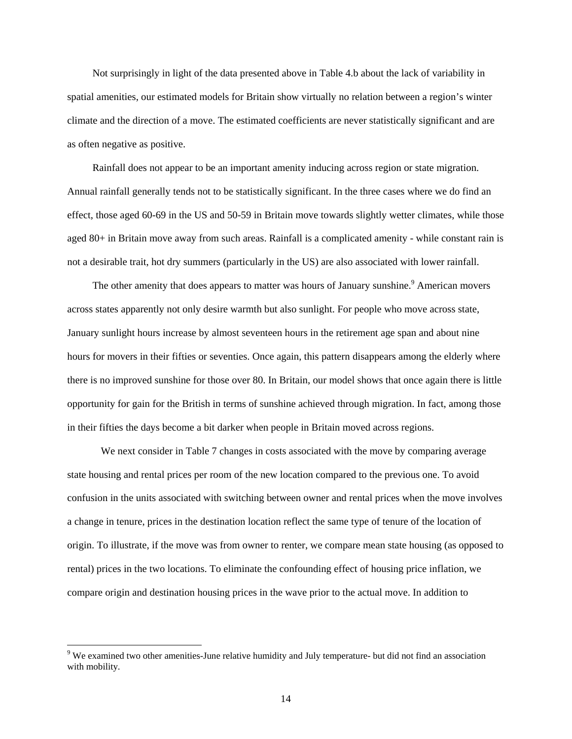Not surprisingly in light of the data presented above in Table 4.b about the lack of variability in spatial amenities, our estimated models for Britain show virtually no relation between a region's winter climate and the direction of a move. The estimated coefficients are never statistically significant and are as often negative as positive.

Rainfall does not appear to be an important amenity inducing across region or state migration. Annual rainfall generally tends not to be statistically significant. In the three cases where we do find an effect, those aged 60-69 in the US and 50-59 in Britain move towards slightly wetter climates, while those aged 80+ in Britain move away from such areas. Rainfall is a complicated amenity - while constant rain is not a desirable trait, hot dry summers (particularly in the US) are also associated with lower rainfall.

The other amenity that does appears to matter was hours of January sunshine.<sup>9</sup> American movers across states apparently not only desire warmth but also sunlight. For people who move across state, January sunlight hours increase by almost seventeen hours in the retirement age span and about nine hours for movers in their fifties or seventies. Once again, this pattern disappears among the elderly where there is no improved sunshine for those over 80. In Britain, our model shows that once again there is little opportunity for gain for the British in terms of sunshine achieved through migration. In fact, among those in their fifties the days become a bit darker when people in Britain moved across regions.

We next consider in Table 7 changes in costs associated with the move by comparing average state housing and rental prices per room of the new location compared to the previous one. To avoid confusion in the units associated with switching between owner and rental prices when the move involves a change in tenure, prices in the destination location reflect the same type of tenure of the location of origin. To illustrate, if the move was from owner to renter, we compare mean state housing (as opposed to rental) prices in the two locations. To eliminate the confounding effect of housing price inflation, we compare origin and destination housing prices in the wave prior to the actual move. In addition to

 $\overline{a}$ 

<sup>&</sup>lt;sup>9</sup> We examined two other amenities-June relative humidity and July temperature- but did not find an association with mobility.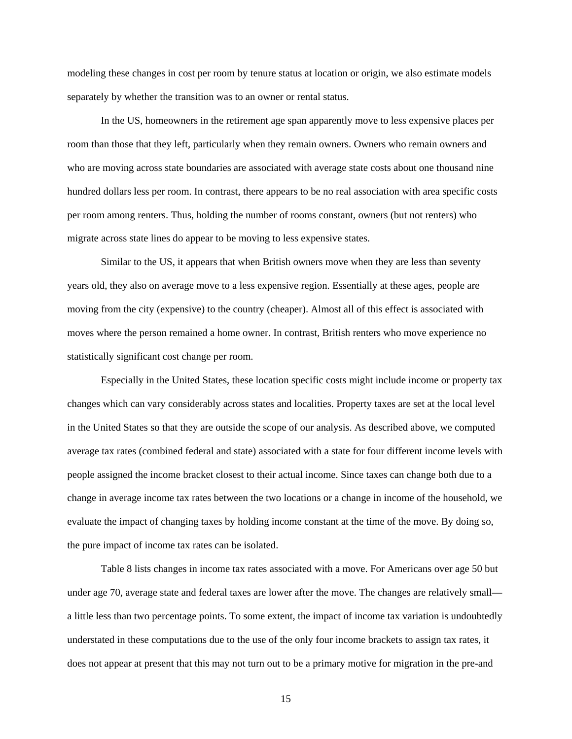modeling these changes in cost per room by tenure status at location or origin, we also estimate models separately by whether the transition was to an owner or rental status.

 In the US, homeowners in the retirement age span apparently move to less expensive places per room than those that they left, particularly when they remain owners. Owners who remain owners and who are moving across state boundaries are associated with average state costs about one thousand nine hundred dollars less per room. In contrast, there appears to be no real association with area specific costs per room among renters. Thus, holding the number of rooms constant, owners (but not renters) who migrate across state lines do appear to be moving to less expensive states.

 Similar to the US, it appears that when British owners move when they are less than seventy years old, they also on average move to a less expensive region. Essentially at these ages, people are moving from the city (expensive) to the country (cheaper). Almost all of this effect is associated with moves where the person remained a home owner. In contrast, British renters who move experience no statistically significant cost change per room.

 Especially in the United States, these location specific costs might include income or property tax changes which can vary considerably across states and localities. Property taxes are set at the local level in the United States so that they are outside the scope of our analysis. As described above, we computed average tax rates (combined federal and state) associated with a state for four different income levels with people assigned the income bracket closest to their actual income. Since taxes can change both due to a change in average income tax rates between the two locations or a change in income of the household, we evaluate the impact of changing taxes by holding income constant at the time of the move. By doing so, the pure impact of income tax rates can be isolated.

 Table 8 lists changes in income tax rates associated with a move. For Americans over age 50 but under age 70, average state and federal taxes are lower after the move. The changes are relatively small a little less than two percentage points. To some extent, the impact of income tax variation is undoubtedly understated in these computations due to the use of the only four income brackets to assign tax rates, it does not appear at present that this may not turn out to be a primary motive for migration in the pre-and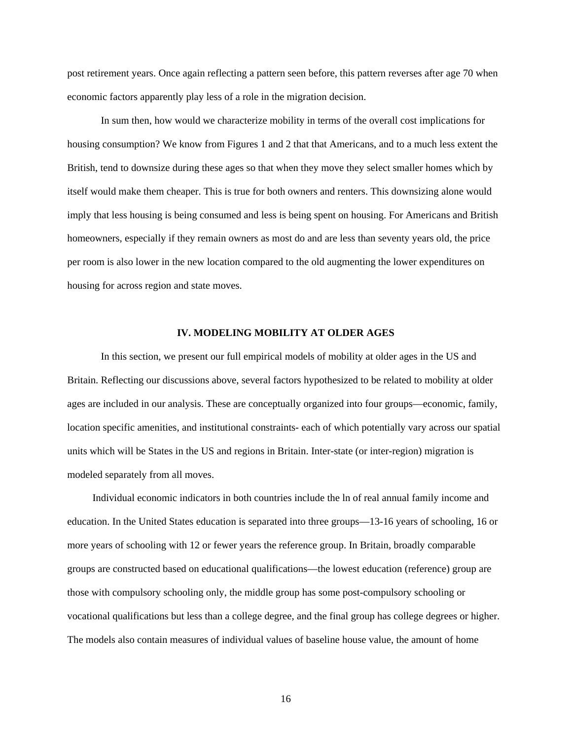post retirement years. Once again reflecting a pattern seen before, this pattern reverses after age 70 when economic factors apparently play less of a role in the migration decision.

 In sum then, how would we characterize mobility in terms of the overall cost implications for housing consumption? We know from Figures 1 and 2 that that Americans, and to a much less extent the British, tend to downsize during these ages so that when they move they select smaller homes which by itself would make them cheaper. This is true for both owners and renters. This downsizing alone would imply that less housing is being consumed and less is being spent on housing. For Americans and British homeowners, especially if they remain owners as most do and are less than seventy years old, the price per room is also lower in the new location compared to the old augmenting the lower expenditures on housing for across region and state moves.

#### **IV. MODELING MOBILITY AT OLDER AGES**

 In this section, we present our full empirical models of mobility at older ages in the US and Britain. Reflecting our discussions above, several factors hypothesized to be related to mobility at older ages are included in our analysis. These are conceptually organized into four groups—economic, family, location specific amenities, and institutional constraints- each of which potentially vary across our spatial units which will be States in the US and regions in Britain. Inter-state (or inter-region) migration is modeled separately from all moves.

Individual economic indicators in both countries include the ln of real annual family income and education. In the United States education is separated into three groups—13-16 years of schooling, 16 or more years of schooling with 12 or fewer years the reference group. In Britain, broadly comparable groups are constructed based on educational qualifications—the lowest education (reference) group are those with compulsory schooling only, the middle group has some post-compulsory schooling or vocational qualifications but less than a college degree, and the final group has college degrees or higher. The models also contain measures of individual values of baseline house value, the amount of home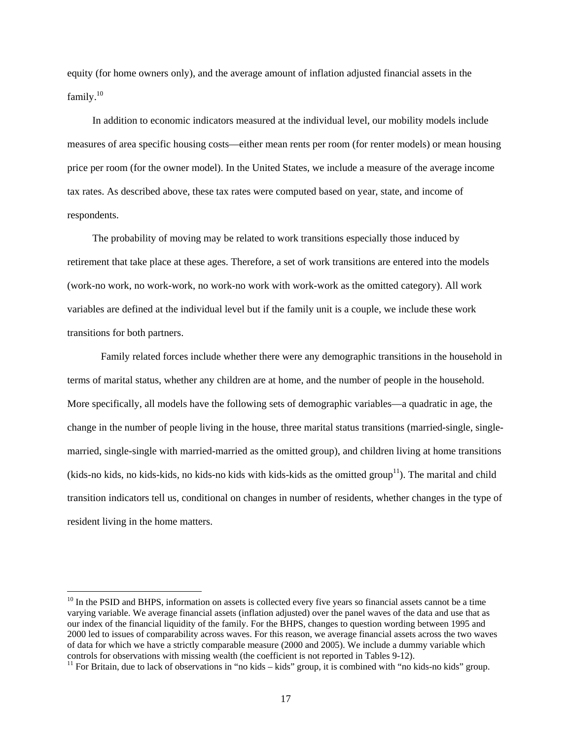equity (for home owners only), and the average amount of inflation adjusted financial assets in the  $family.<sup>10</sup>$ 

In addition to economic indicators measured at the individual level, our mobility models include measures of area specific housing costs—either mean rents per room (for renter models) or mean housing price per room (for the owner model). In the United States, we include a measure of the average income tax rates. As described above, these tax rates were computed based on year, state, and income of respondents.

The probability of moving may be related to work transitions especially those induced by retirement that take place at these ages. Therefore, a set of work transitions are entered into the models (work-no work, no work-work, no work-no work with work-work as the omitted category). All work variables are defined at the individual level but if the family unit is a couple, we include these work transitions for both partners.

 Family related forces include whether there were any demographic transitions in the household in terms of marital status, whether any children are at home, and the number of people in the household. More specifically, all models have the following sets of demographic variables—a quadratic in age, the change in the number of people living in the house, three marital status transitions (married-single, singlemarried, single-single with married-married as the omitted group), and children living at home transitions (kids-no kids, no kids-kids, no kids-no kids with kids-kids as the omitted group<sup>11</sup>). The marital and child transition indicators tell us, conditional on changes in number of residents, whether changes in the type of resident living in the home matters.

 $\overline{a}$ 

 $10$  In the PSID and BHPS, information on assets is collected every five years so financial assets cannot be a time varying variable. We average financial assets (inflation adjusted) over the panel waves of the data and use that as our index of the financial liquidity of the family. For the BHPS, changes to question wording between 1995 and 2000 led to issues of comparability across waves. For this reason, we average financial assets across the two waves of data for which we have a strictly comparable measure (2000 and 2005). We include a dummy variable which controls for observations with missing wealth (the coefficient is not reported in Tables 9-12).

<sup>&</sup>lt;sup>11</sup> For Britain, due to lack of observations in "no kids – kids" group, it is combined with "no kids-no kids" group.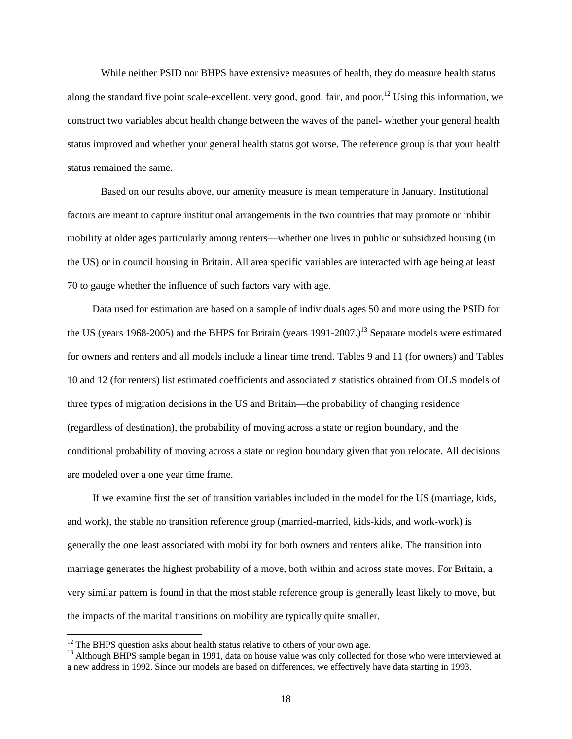While neither PSID nor BHPS have extensive measures of health, they do measure health status along the standard five point scale-excellent, very good, good, fair, and poor.<sup>12</sup> Using this information, we construct two variables about health change between the waves of the panel- whether your general health status improved and whether your general health status got worse. The reference group is that your health status remained the same.

 Based on our results above, our amenity measure is mean temperature in January. Institutional factors are meant to capture institutional arrangements in the two countries that may promote or inhibit mobility at older ages particularly among renters—whether one lives in public or subsidized housing (in the US) or in council housing in Britain. All area specific variables are interacted with age being at least 70 to gauge whether the influence of such factors vary with age.

Data used for estimation are based on a sample of individuals ages 50 and more using the PSID for the US (years 1968-2005) and the BHPS for Britain (years 1991-2007.)<sup>13</sup> Separate models were estimated for owners and renters and all models include a linear time trend. Tables 9 and 11 (for owners) and Tables 10 and 12 (for renters) list estimated coefficients and associated z statistics obtained from OLS models of three types of migration decisions in the US and Britain—the probability of changing residence (regardless of destination), the probability of moving across a state or region boundary, and the conditional probability of moving across a state or region boundary given that you relocate. All decisions are modeled over a one year time frame.

If we examine first the set of transition variables included in the model for the US (marriage, kids, and work), the stable no transition reference group (married-married, kids-kids, and work-work) is generally the one least associated with mobility for both owners and renters alike. The transition into marriage generates the highest probability of a move, both within and across state moves. For Britain, a very similar pattern is found in that the most stable reference group is generally least likely to move, but the impacts of the marital transitions on mobility are typically quite smaller.

 $\overline{a}$ 

 $12$  The BHPS question asks about health status relative to others of your own age.

<sup>&</sup>lt;sup>13</sup> Although BHPS sample began in 1991, data on house value was only collected for those who were interviewed at a new address in 1992. Since our models are based on differences, we effectively have data starting in 1993.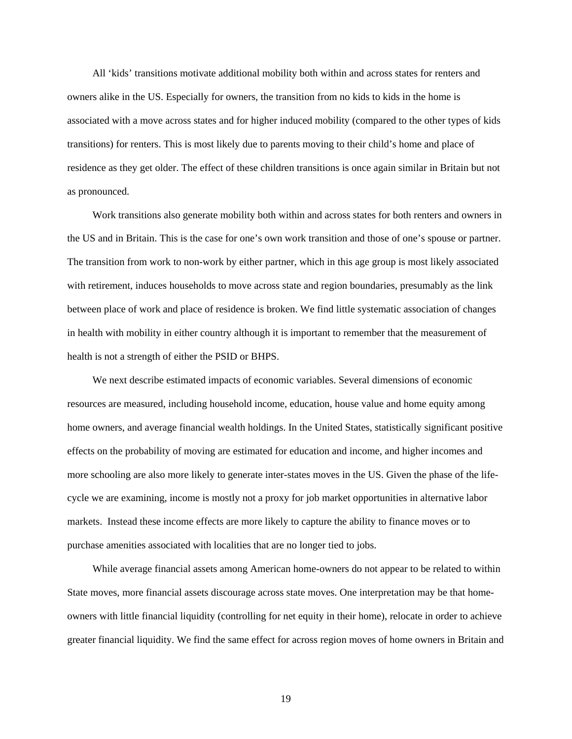All 'kids' transitions motivate additional mobility both within and across states for renters and owners alike in the US. Especially for owners, the transition from no kids to kids in the home is associated with a move across states and for higher induced mobility (compared to the other types of kids transitions) for renters. This is most likely due to parents moving to their child's home and place of residence as they get older. The effect of these children transitions is once again similar in Britain but not as pronounced.

Work transitions also generate mobility both within and across states for both renters and owners in the US and in Britain. This is the case for one's own work transition and those of one's spouse or partner. The transition from work to non-work by either partner, which in this age group is most likely associated with retirement, induces households to move across state and region boundaries, presumably as the link between place of work and place of residence is broken. We find little systematic association of changes in health with mobility in either country although it is important to remember that the measurement of health is not a strength of either the PSID or BHPS.

We next describe estimated impacts of economic variables. Several dimensions of economic resources are measured, including household income, education, house value and home equity among home owners, and average financial wealth holdings. In the United States, statistically significant positive effects on the probability of moving are estimated for education and income, and higher incomes and more schooling are also more likely to generate inter-states moves in the US. Given the phase of the lifecycle we are examining, income is mostly not a proxy for job market opportunities in alternative labor markets. Instead these income effects are more likely to capture the ability to finance moves or to purchase amenities associated with localities that are no longer tied to jobs.

While average financial assets among American home-owners do not appear to be related to within State moves, more financial assets discourage across state moves. One interpretation may be that homeowners with little financial liquidity (controlling for net equity in their home), relocate in order to achieve greater financial liquidity. We find the same effect for across region moves of home owners in Britain and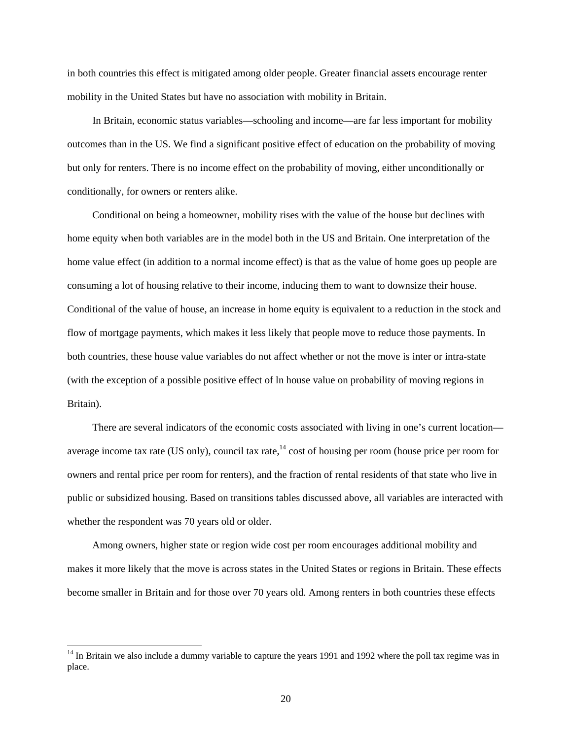in both countries this effect is mitigated among older people. Greater financial assets encourage renter mobility in the United States but have no association with mobility in Britain.

In Britain, economic status variables—schooling and income—are far less important for mobility outcomes than in the US. We find a significant positive effect of education on the probability of moving but only for renters. There is no income effect on the probability of moving, either unconditionally or conditionally, for owners or renters alike.

Conditional on being a homeowner, mobility rises with the value of the house but declines with home equity when both variables are in the model both in the US and Britain. One interpretation of the home value effect (in addition to a normal income effect) is that as the value of home goes up people are consuming a lot of housing relative to their income, inducing them to want to downsize their house. Conditional of the value of house, an increase in home equity is equivalent to a reduction in the stock and flow of mortgage payments, which makes it less likely that people move to reduce those payments. In both countries, these house value variables do not affect whether or not the move is inter or intra-state (with the exception of a possible positive effect of ln house value on probability of moving regions in Britain).

There are several indicators of the economic costs associated with living in one's current location average income tax rate (US only), council tax rate,  $14 \cos$  cost of housing per room (house price per room for owners and rental price per room for renters), and the fraction of rental residents of that state who live in public or subsidized housing. Based on transitions tables discussed above, all variables are interacted with whether the respondent was 70 years old or older.

Among owners, higher state or region wide cost per room encourages additional mobility and makes it more likely that the move is across states in the United States or regions in Britain. These effects become smaller in Britain and for those over 70 years old. Among renters in both countries these effects

 $\overline{a}$ 

<sup>&</sup>lt;sup>14</sup> In Britain we also include a dummy variable to capture the years 1991 and 1992 where the poll tax regime was in place.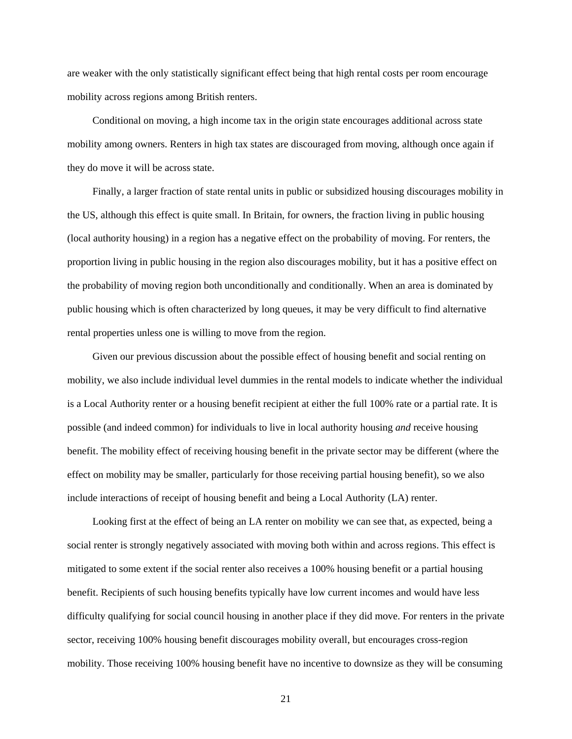are weaker with the only statistically significant effect being that high rental costs per room encourage mobility across regions among British renters.

Conditional on moving, a high income tax in the origin state encourages additional across state mobility among owners. Renters in high tax states are discouraged from moving, although once again if they do move it will be across state.

Finally, a larger fraction of state rental units in public or subsidized housing discourages mobility in the US, although this effect is quite small. In Britain, for owners, the fraction living in public housing (local authority housing) in a region has a negative effect on the probability of moving. For renters, the proportion living in public housing in the region also discourages mobility, but it has a positive effect on the probability of moving region both unconditionally and conditionally. When an area is dominated by public housing which is often characterized by long queues, it may be very difficult to find alternative rental properties unless one is willing to move from the region.

Given our previous discussion about the possible effect of housing benefit and social renting on mobility, we also include individual level dummies in the rental models to indicate whether the individual is a Local Authority renter or a housing benefit recipient at either the full 100% rate or a partial rate. It is possible (and indeed common) for individuals to live in local authority housing *and* receive housing benefit. The mobility effect of receiving housing benefit in the private sector may be different (where the effect on mobility may be smaller, particularly for those receiving partial housing benefit), so we also include interactions of receipt of housing benefit and being a Local Authority (LA) renter.

Looking first at the effect of being an LA renter on mobility we can see that, as expected, being a social renter is strongly negatively associated with moving both within and across regions. This effect is mitigated to some extent if the social renter also receives a 100% housing benefit or a partial housing benefit. Recipients of such housing benefits typically have low current incomes and would have less difficulty qualifying for social council housing in another place if they did move. For renters in the private sector, receiving 100% housing benefit discourages mobility overall, but encourages cross-region mobility. Those receiving 100% housing benefit have no incentive to downsize as they will be consuming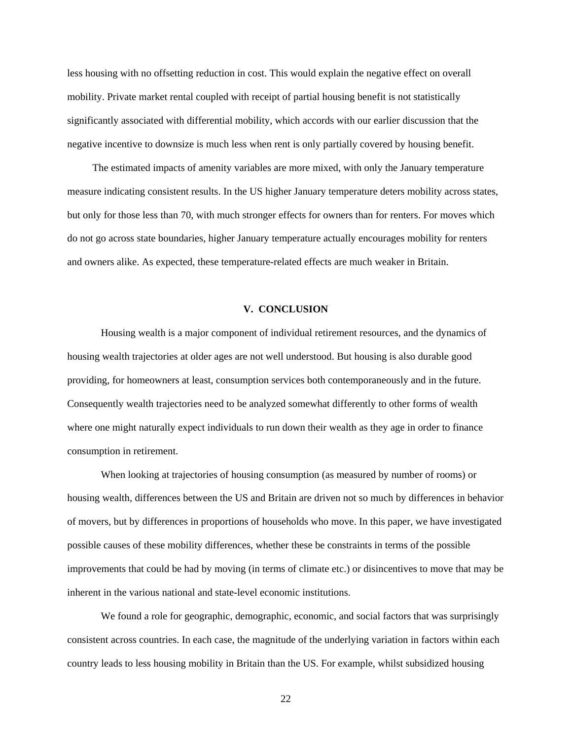less housing with no offsetting reduction in cost. This would explain the negative effect on overall mobility. Private market rental coupled with receipt of partial housing benefit is not statistically significantly associated with differential mobility, which accords with our earlier discussion that the negative incentive to downsize is much less when rent is only partially covered by housing benefit.

The estimated impacts of amenity variables are more mixed, with only the January temperature measure indicating consistent results. In the US higher January temperature deters mobility across states, but only for those less than 70, with much stronger effects for owners than for renters. For moves which do not go across state boundaries, higher January temperature actually encourages mobility for renters and owners alike. As expected, these temperature-related effects are much weaker in Britain.

#### **V. CONCLUSION**

Housing wealth is a major component of individual retirement resources, and the dynamics of housing wealth trajectories at older ages are not well understood. But housing is also durable good providing, for homeowners at least, consumption services both contemporaneously and in the future. Consequently wealth trajectories need to be analyzed somewhat differently to other forms of wealth where one might naturally expect individuals to run down their wealth as they age in order to finance consumption in retirement.

 When looking at trajectories of housing consumption (as measured by number of rooms) or housing wealth, differences between the US and Britain are driven not so much by differences in behavior of movers, but by differences in proportions of households who move. In this paper, we have investigated possible causes of these mobility differences, whether these be constraints in terms of the possible improvements that could be had by moving (in terms of climate etc.) or disincentives to move that may be inherent in the various national and state-level economic institutions.

We found a role for geographic, demographic, economic, and social factors that was surprisingly consistent across countries. In each case, the magnitude of the underlying variation in factors within each country leads to less housing mobility in Britain than the US. For example, whilst subsidized housing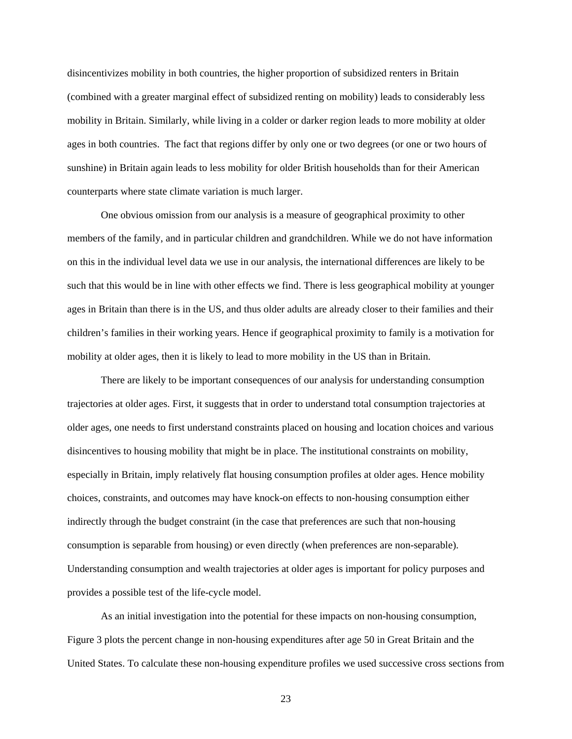disincentivizes mobility in both countries, the higher proportion of subsidized renters in Britain (combined with a greater marginal effect of subsidized renting on mobility) leads to considerably less mobility in Britain. Similarly, while living in a colder or darker region leads to more mobility at older ages in both countries. The fact that regions differ by only one or two degrees (or one or two hours of sunshine) in Britain again leads to less mobility for older British households than for their American counterparts where state climate variation is much larger.

 One obvious omission from our analysis is a measure of geographical proximity to other members of the family, and in particular children and grandchildren. While we do not have information on this in the individual level data we use in our analysis, the international differences are likely to be such that this would be in line with other effects we find. There is less geographical mobility at younger ages in Britain than there is in the US, and thus older adults are already closer to their families and their children's families in their working years. Hence if geographical proximity to family is a motivation for mobility at older ages, then it is likely to lead to more mobility in the US than in Britain.

 There are likely to be important consequences of our analysis for understanding consumption trajectories at older ages. First, it suggests that in order to understand total consumption trajectories at older ages, one needs to first understand constraints placed on housing and location choices and various disincentives to housing mobility that might be in place. The institutional constraints on mobility, especially in Britain, imply relatively flat housing consumption profiles at older ages. Hence mobility choices, constraints, and outcomes may have knock-on effects to non-housing consumption either indirectly through the budget constraint (in the case that preferences are such that non-housing consumption is separable from housing) or even directly (when preferences are non-separable). Understanding consumption and wealth trajectories at older ages is important for policy purposes and provides a possible test of the life-cycle model.

 As an initial investigation into the potential for these impacts on non-housing consumption, Figure 3 plots the percent change in non-housing expenditures after age 50 in Great Britain and the United States. To calculate these non-housing expenditure profiles we used successive cross sections from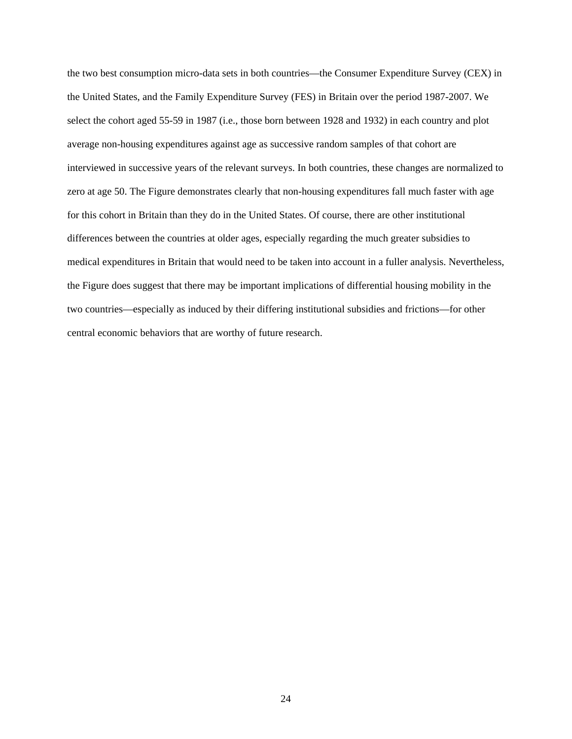the two best consumption micro-data sets in both countries—the Consumer Expenditure Survey (CEX) in the United States, and the Family Expenditure Survey (FES) in Britain over the period 1987-2007. We select the cohort aged 55-59 in 1987 (i.e., those born between 1928 and 1932) in each country and plot average non-housing expenditures against age as successive random samples of that cohort are interviewed in successive years of the relevant surveys. In both countries, these changes are normalized to zero at age 50. The Figure demonstrates clearly that non-housing expenditures fall much faster with age for this cohort in Britain than they do in the United States. Of course, there are other institutional differences between the countries at older ages, especially regarding the much greater subsidies to medical expenditures in Britain that would need to be taken into account in a fuller analysis. Nevertheless, the Figure does suggest that there may be important implications of differential housing mobility in the two countries—especially as induced by their differing institutional subsidies and frictions—for other central economic behaviors that are worthy of future research.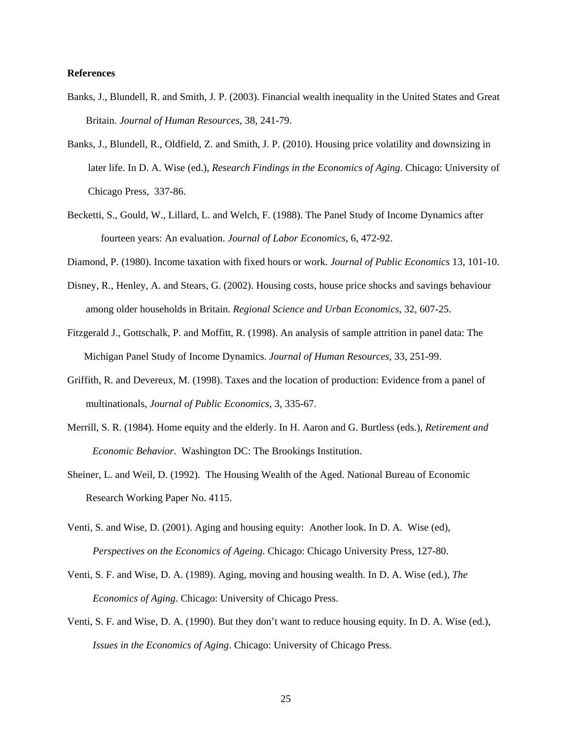#### **References**

- Banks, J., Blundell, R. and Smith, J. P. (2003). Financial wealth inequality in the United States and Great Britain. *Journal of Human Resources*, 38, 241-79.
- Banks, J., Blundell, R., Oldfield, Z. and Smith, J. P. (2010). Housing price volatility and downsizing in later life. In D. A. Wise (ed.), *Research Findings in the Economics of Aging*. Chicago: University of Chicago Press, 337-86.
- Becketti, S., Gould, W., Lillard, L. and Welch, F. (1988). The Panel Study of Income Dynamics after fourteen years: An evaluation. *Journal of Labor Economics*, 6, 472-92.
- Diamond, P. (1980). Income taxation with fixed hours or work. *Journal of Public Economics* 13, 101-10.
- Disney, R., Henley, A. and Stears, G. (2002). Housing costs, house price shocks and savings behaviour among older households in Britain. *Regional Science and Urban Economics*, 32, 607-25.
- Fitzgerald J., Gottschalk, P. and Moffitt, R. (1998). An analysis of sample attrition in panel data: The Michigan Panel Study of Income Dynamics. *Journal of Human Resources*, 33, 251-99.
- Griffith, R. and Devereux, M. (1998). Taxes and the location of production: Evidence from a panel of multinationals, *Journal of Public Economics*, 3, 335-67.
- Merrill, S. R. (1984). Home equity and the elderly. In H. Aaron and G. Burtless (eds.), *Retirement and Economic Behavior*. Washington DC: The Brookings Institution.
- Sheiner, L. and Weil, D. (1992). The Housing Wealth of the Aged. National Bureau of Economic Research Working Paper No. 4115.
- Venti, S. and Wise, D. (2001). Aging and housing equity: Another look. In D. A. Wise (ed), *Perspectives on the Economics of Ageing*. Chicago: Chicago University Press, 127-80.
- Venti, S. F. and Wise, D. A. (1989). Aging, moving and housing wealth. In D. A. Wise (ed.), *The Economics of Aging*. Chicago: University of Chicago Press.
- Venti, S. F. and Wise, D. A. (1990). But they don't want to reduce housing equity. In D. A. Wise (ed.), *Issues in the Economics of Aging*. Chicago: University of Chicago Press.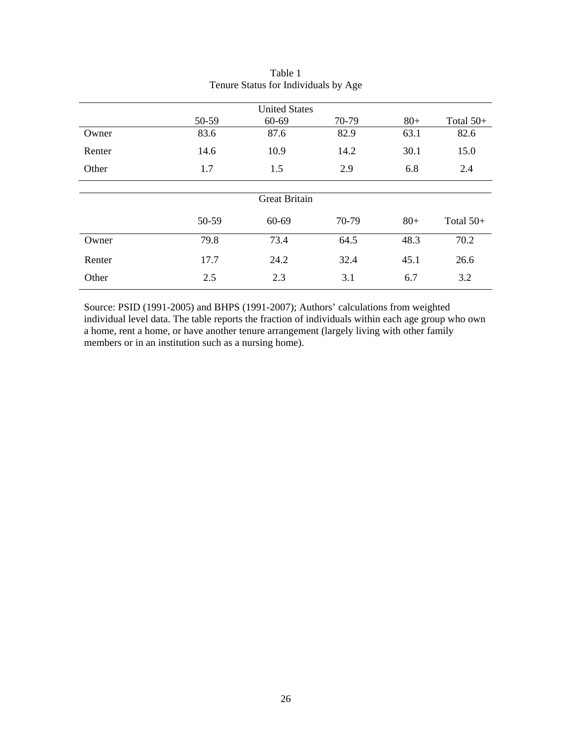|        |       | <b>United States</b> |       |       |             |
|--------|-------|----------------------|-------|-------|-------------|
|        | 50-59 | 60-69                | 70-79 | $80+$ | Total $50+$ |
| Owner  | 83.6  | 87.6                 | 82.9  | 63.1  | 82.6        |
| Renter | 14.6  | 10.9                 | 14.2  | 30.1  | 15.0        |
| Other  | 1.7   | 1.5                  | 2.9   | 6.8   | 2.4         |
|        |       |                      |       |       |             |
|        |       | <b>Great Britain</b> |       |       |             |
|        | 50-59 | 60-69                | 70-79 | $80+$ | Total $50+$ |
| Owner  | 79.8  | 73.4                 | 64.5  | 48.3  | 70.2        |
| Renter | 17.7  | 24.2                 | 32.4  | 45.1  | 26.6        |
| Other  | 2.5   | 2.3                  | 3.1   | 6.7   | 3.2         |

| Table 1                              |
|--------------------------------------|
| Tenure Status for Individuals by Age |

Source: PSID (1991-2005) and BHPS (1991-2007); Authors' calculations from weighted individual level data. The table reports the fraction of individuals within each age group who own a home, rent a home, or have another tenure arrangement (largely living with other family members or in an institution such as a nursing home).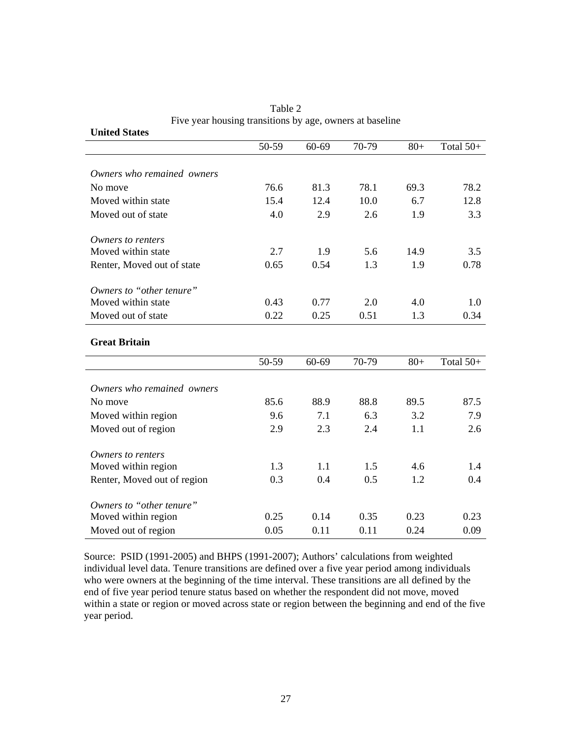| <b>United States</b>        |       |       |       |       |           |
|-----------------------------|-------|-------|-------|-------|-----------|
|                             | 50-59 | 60-69 | 70-79 | $80+$ | Total 50+ |
|                             |       |       |       |       |           |
| Owners who remained owners  |       |       |       |       |           |
| No move                     | 76.6  | 81.3  | 78.1  | 69.3  | 78.2      |
| Moved within state          | 15.4  | 12.4  | 10.0  | 6.7   | 12.8      |
| Moved out of state          | 4.0   | 2.9   | 2.6   | 1.9   | 3.3       |
| Owners to renters           |       |       |       |       |           |
| Moved within state          | 2.7   | 1.9   | 5.6   | 14.9  | 3.5       |
| Renter, Moved out of state  | 0.65  | 0.54  | 1.3   | 1.9   | 0.78      |
| Owners to "other tenure"    |       |       |       |       |           |
| Moved within state          | 0.43  | 0.77  | 2.0   | 4.0   | 1.0       |
| Moved out of state          | 0.22  | 0.25  | 0.51  | 1.3   | 0.34      |
| <b>Great Britain</b>        |       |       |       |       |           |
|                             | 50-59 | 60-69 | 70-79 | $80+$ | Total 50+ |
| Owners who remained owners  |       |       |       |       |           |
| No move                     | 85.6  | 88.9  | 88.8  | 89.5  | 87.5      |
| Moved within region         | 9.6   | 7.1   | 6.3   | 3.2   | 7.9       |
| Moved out of region         | 2.9   | 2.3   | 2.4   | 1.1   | 2.6       |
| Owners to renters           |       |       |       |       |           |
| Moved within region         | 1.3   | 1.1   | 1.5   | 4.6   | 1.4       |
| Renter, Moved out of region | 0.3   | 0.4   | 0.5   | 1.2   | 0.4       |
| Owners to "other tenure"    |       |       |       |       |           |
| Moved within region         | 0.25  | 0.14  | 0.35  | 0.23  | 0.23      |
| Moved out of region         | 0.05  | 0.11  | 0.11  | 0.24  | 0.09      |

Table 2 Five year housing transitions by age, owners at baseline

Source: PSID (1991-2005) and BHPS (1991-2007); Authors' calculations from weighted individual level data. Tenure transitions are defined over a five year period among individuals who were owners at the beginning of the time interval. These transitions are all defined by the end of five year period tenure status based on whether the respondent did not move, moved within a state or region or moved across state or region between the beginning and end of the five year period.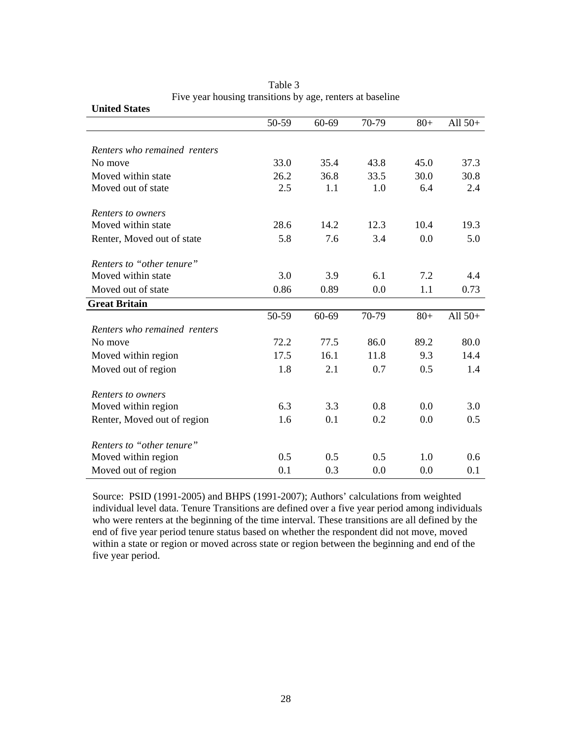|                              | 50-59 | 60-69 | 70-79 | $80+$ | All $50+$ |
|------------------------------|-------|-------|-------|-------|-----------|
| Renters who remained renters |       |       |       |       |           |
| No move                      | 33.0  | 35.4  | 43.8  | 45.0  | 37.3      |
| Moved within state           | 26.2  | 36.8  | 33.5  | 30.0  | 30.8      |
| Moved out of state           | 2.5   | 1.1   | 1.0   | 6.4   | 2.4       |
| Renters to owners            |       |       |       |       |           |
| Moved within state           | 28.6  | 14.2  | 12.3  | 10.4  | 19.3      |
| Renter, Moved out of state   | 5.8   | 7.6   | 3.4   | 0.0   | 5.0       |
| Renters to "other tenure"    |       |       |       |       |           |
| Moved within state           | 3.0   | 3.9   | 6.1   | 7.2   | 4.4       |
| Moved out of state           | 0.86  | 0.89  | 0.0   | 1.1   | 0.73      |
| <b>Great Britain</b>         |       |       |       |       |           |
|                              | 50-59 | 60-69 | 70-79 | $80+$ | All $50+$ |
| Renters who remained renters |       |       |       |       |           |
| No move                      | 72.2  | 77.5  | 86.0  | 89.2  | 80.0      |
| Moved within region          | 17.5  | 16.1  | 11.8  | 9.3   | 14.4      |
| Moved out of region          | 1.8   | 2.1   | 0.7   | 0.5   | 1.4       |
| Renters to owners            |       |       |       |       |           |
| Moved within region          | 6.3   | 3.3   | 0.8   | 0.0   | 3.0       |
| Renter, Moved out of region  | 1.6   | 0.1   | 0.2   | 0.0   | 0.5       |
| Renters to "other tenure"    |       |       |       |       |           |
| Moved within region          | 0.5   | 0.5   | 0.5   | 1.0   | 0.6       |
| Moved out of region          | 0.1   | 0.3   | 0.0   | 0.0   | 0.1       |

| Table 3                                                   |
|-----------------------------------------------------------|
| Five year housing transitions by age, renters at baseline |

Source: PSID (1991-2005) and BHPS (1991-2007); Authors' calculations from weighted individual level data. Tenure Transitions are defined over a five year period among individuals who were renters at the beginning of the time interval. These transitions are all defined by the end of five year period tenure status based on whether the respondent did not move, moved within a state or region or moved across state or region between the beginning and end of the five year period.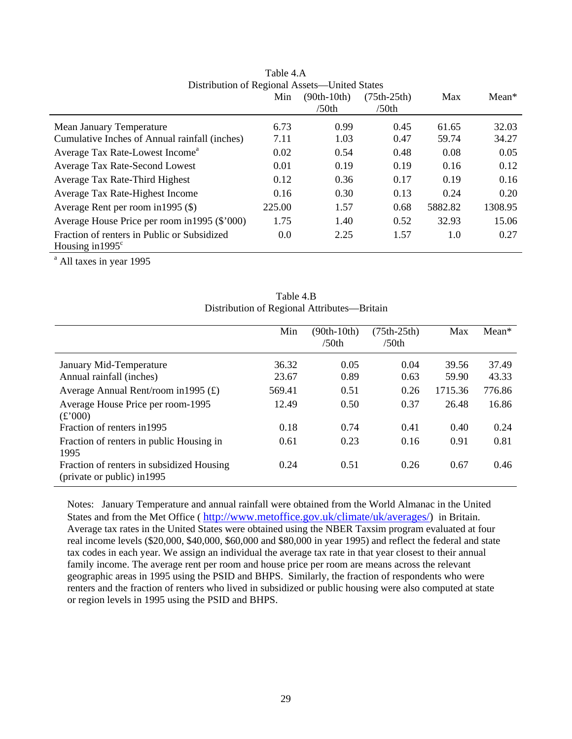| Distribution of Regional Assets—Officer States                           | Min    | $(90th-10th)$<br>/50th | $(75th-25th)$<br>/50th | Max     | $Mean*$ |
|--------------------------------------------------------------------------|--------|------------------------|------------------------|---------|---------|
| <b>Mean January Temperature</b>                                          | 6.73   | 0.99                   | 0.45                   | 61.65   | 32.03   |
| Cumulative Inches of Annual rainfall (inches)                            | 7.11   | 1.03                   | 0.47                   | 59.74   | 34.27   |
| Average Tax Rate-Lowest Income <sup>a</sup>                              | 0.02   | 0.54                   | 0.48                   | 0.08    | 0.05    |
| <b>Average Tax Rate-Second Lowest</b>                                    | 0.01   | 0.19                   | 0.19                   | 0.16    | 0.12    |
| Average Tax Rate-Third Highest                                           | 0.12   | 0.36                   | 0.17                   | 0.19    | 0.16    |
| Average Tax Rate-Highest Income                                          | 0.16   | 0.30                   | 0.13                   | 0.24    | 0.20    |
| Average Rent per room in 1995 (\$)                                       | 225.00 | 1.57                   | 0.68                   | 5882.82 | 1308.95 |
| Average House Price per room in 1995 (\$'000)                            | 1.75   | 1.40                   | 0.52                   | 32.93   | 15.06   |
| Fraction of renters in Public or Subsidized<br>Housing in $1995^{\circ}$ | 0.0    | 2.25                   | 1.57                   | 1.0     | 0.27    |

Table 4.A Distribution of Regional Assets—United States

<sup>a</sup> All taxes in year 1995

| Distribution of Regional Attributes—Diftant                                |        |                           |                        |         |         |  |
|----------------------------------------------------------------------------|--------|---------------------------|------------------------|---------|---------|--|
|                                                                            | Min    | $(90th-10th)$<br>$/50$ th | $(75th-25th)$<br>/50th | Max     | $Mean*$ |  |
| January Mid-Temperature                                                    | 36.32  | 0.05                      | 0.04                   | 39.56   | 37.49   |  |
| Annual rainfall (inches)                                                   | 23.67  | 0.89                      | 0.63                   | 59.90   | 43.33   |  |
| Average Annual Rent/room in 1995 $(E)$                                     | 569.41 | 0.51                      | 0.26                   | 1715.36 | 776.86  |  |
| Average House Price per room-1995<br>$\left(\text{\pounds}2000\right)$     | 12.49  | 0.50                      | 0.37                   | 26.48   | 16.86   |  |
| Fraction of renters in 1995                                                | 0.18   | 0.74                      | 0.41                   | 0.40    | 0.24    |  |
| Fraction of renters in public Housing in<br>1995                           | 0.61   | 0.23                      | 0.16                   | 0.91    | 0.81    |  |
| Fraction of renters in subsidized Housing<br>(private or public) in $1995$ | 0.24   | 0.51                      | 0.26                   | 0.67    | 0.46    |  |

Table 4.B Distribution of Regional Attributes—Britain

Notes: January Temperature and annual rainfall were obtained from the World Almanac in the United States and from the Met Office ( http://www.metoffice.gov.uk/climate/uk/averages/) in Britain. Average tax rates in the United States were obtained using the NBER Taxsim program evaluated at four real income levels (\$20,000, \$40,000, \$60,000 and \$80,000 in year 1995) and reflect the federal and state tax codes in each year. We assign an individual the average tax rate in that year closest to their annual family income. The average rent per room and house price per room are means across the relevant geographic areas in 1995 using the PSID and BHPS. Similarly, the fraction of respondents who were renters and the fraction of renters who lived in subsidized or public housing were also computed at state or region levels in 1995 using the PSID and BHPS.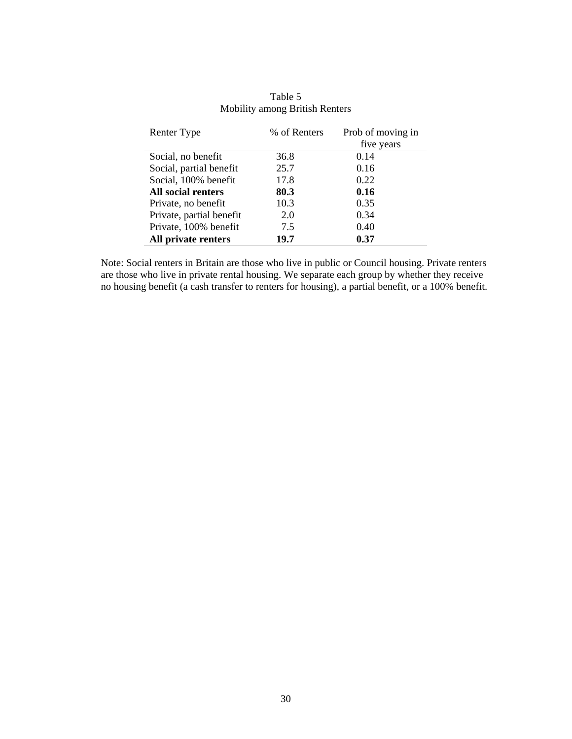| Renter Type              | % of Renters | Prob of moving in |
|--------------------------|--------------|-------------------|
|                          |              | five years        |
| Social, no benefit       | 36.8         | 0.14              |
| Social, partial benefit  | 25.7         | 0.16              |
| Social, 100% benefit     | 17.8         | 0.22              |
| All social renters       | 80.3         | 0.16              |
| Private, no benefit      | 10.3         | 0.35              |
| Private, partial benefit | 2.0          | 0.34              |
| Private, 100% benefit    | 7.5          | 0.40              |
| All private renters      | 19.7         | 0.37              |

#### Table 5 Mobility among British Renters

Note: Social renters in Britain are those who live in public or Council housing. Private renters are those who live in private rental housing. We separate each group by whether they receive no housing benefit (a cash transfer to renters for housing), a partial benefit, or a 100% benefit.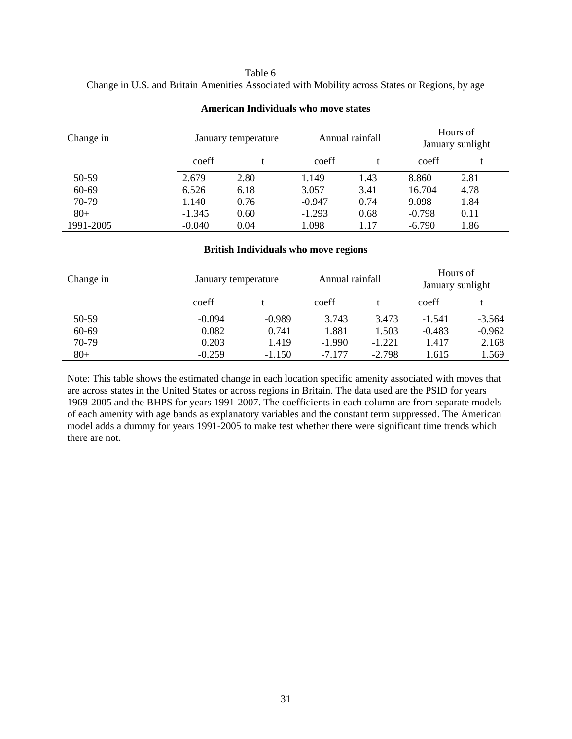#### Table 6 Change in U.S. and Britain Amenities Associated with Mobility across States or Regions, by age

| Change in |          | January temperature |          | Annual rainfall |          | Hours of<br>January sunlight |  |
|-----------|----------|---------------------|----------|-----------------|----------|------------------------------|--|
|           | coeff    |                     | coeff    |                 | coeff    |                              |  |
| 50-59     | 2.679    | 2.80                | 1.149    | 1.43            | 8.860    | 2.81                         |  |
| 60-69     | 6.526    | 6.18                | 3.057    | 3.41            | 16.704   | 4.78                         |  |
| 70-79     | 1.140    | 0.76                | $-0.947$ | 0.74            | 9.098    | 1.84                         |  |
| $80+$     | $-1.345$ | 0.60                | $-1.293$ | 0.68            | $-0.798$ | 0.11                         |  |
| 1991-2005 | $-0.040$ | 0.04                | 1.098    | 1.17            | $-6.790$ | 1.86                         |  |

#### **American Individuals who move states**

#### **British Individuals who move regions**

| Change in |          | January temperature |          | Annual rainfall |          | Hours of<br>January sunlight |  |
|-----------|----------|---------------------|----------|-----------------|----------|------------------------------|--|
|           | coeff    |                     | coeff    |                 | coeff    |                              |  |
| 50-59     | $-0.094$ | $-0.989$            | 3.743    | 3.473           | $-1.541$ | $-3.564$                     |  |
| 60-69     | 0.082    | 0.741               | 1.881    | 1.503           | $-0.483$ | $-0.962$                     |  |
| 70-79     | 0.203    | 1.419               | $-1.990$ | $-1.221$        | 1.417    | 2.168                        |  |
| $80+$     | $-0.259$ | $-1.150$            | $-7.177$ | $-2.798$        | 1.615    | 1.569                        |  |

Note: This table shows the estimated change in each location specific amenity associated with moves that are across states in the United States or across regions in Britain. The data used are the PSID for years 1969-2005 and the BHPS for years 1991-2007. The coefficients in each column are from separate models of each amenity with age bands as explanatory variables and the constant term suppressed. The American model adds a dummy for years 1991-2005 to make test whether there were significant time trends which there are not.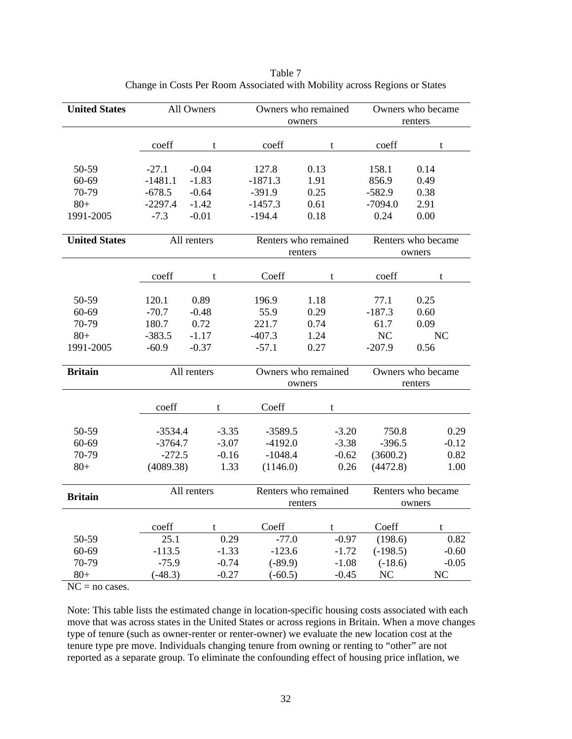| <b>United States</b> |           | All Owners   |          | Owners who remained<br>owners |                      |                    | Owners who became<br>renters |  |
|----------------------|-----------|--------------|----------|-------------------------------|----------------------|--------------------|------------------------------|--|
|                      |           |              |          |                               |                      |                    |                              |  |
|                      | coeff     | $\mathbf{t}$ |          | coeff                         | $\mathbf t$          | coeff              | $\mathbf t$                  |  |
| 50-59                | $-27.1$   | $-0.04$      |          | 127.8                         | 0.13                 | 158.1              | 0.14                         |  |
| $60 - 69$            | $-1481.1$ | $-1.83$      |          | $-1871.3$                     | 1.91                 | 856.9              | 0.49                         |  |
| 70-79                | $-678.5$  | $-0.64$      |          | $-391.9$                      | 0.25                 | $-582.9$           | 0.38                         |  |
| $80+$                | $-2297.4$ | $-1.42$      |          | $-1457.3$                     | 0.61                 | $-7094.0$          | 2.91                         |  |
| 1991-2005            | $-7.3$    | $-0.01$      |          | $-194.4$                      | 0.18                 | 0.24               | 0.00                         |  |
| <b>United States</b> |           | All renters  |          |                               | Renters who remained |                    | Renters who became           |  |
|                      |           |              |          |                               | renters              |                    | owners                       |  |
|                      | coeff     | $\mathbf{t}$ |          | Coeff                         | t                    | coeff              | t                            |  |
|                      |           |              |          |                               |                      |                    |                              |  |
| 50-59                | 120.1     | 0.89         |          | 196.9                         | 1.18                 | 77.1               | 0.25                         |  |
| 60-69                | $-70.7$   | $-0.48$      |          | 55.9                          | 0.29                 | $-187.3$           | 0.60                         |  |
| 70-79                | 180.7     | 0.72         |          | 221.7                         | 0.74                 | 61.7               | 0.09                         |  |
| $80 +$               | $-383.5$  | $-1.17$      |          | $-407.3$                      | 1.24                 | NC                 | <b>NC</b>                    |  |
| 1991-2005            | $-60.9$   | $-0.37$      |          | $-57.1$                       | 0.27                 | $-207.9$           | 0.56                         |  |
| <b>Britain</b>       |           | All renters  |          |                               | Owners who remained  |                    | Owners who became            |  |
|                      |           |              |          |                               | owners               | renters            |                              |  |
|                      | coeff     |              | t        | Coeff                         | t                    |                    |                              |  |
| 50-59                | $-3534.4$ |              | $-3.35$  | $-3589.5$                     | $-3.20$              | 750.8              | 0.29                         |  |
| 60-69                | $-3764.7$ |              | $-3.07$  | $-4192.0$                     | $-3.38$              | $-396.5$           | $-0.12$                      |  |
| 70-79                | $-272.5$  |              | $-0.16$  | $-1048.4$                     | $-0.62$              | (3600.2)           | 0.82                         |  |
| $80 +$               | (4089.38) |              | 1.33     | (1146.0)                      | 0.26                 | (4472.8)           | 1.00                         |  |
| <b>Britain</b>       |           | All renters  |          | Renters who remained          |                      | Renters who became |                              |  |
|                      |           |              |          | renters                       |                      |                    | owners                       |  |
|                      |           |              |          |                               |                      |                    |                              |  |
|                      | coeff     |              | $t \sim$ | Coeff                         | $t \sim$             | Coeff              | t                            |  |
| 50-59                | 25.1      |              | 0.29     | $-77.0$                       | $-0.97$              | (198.6)            | 0.82                         |  |
| 60-69                | $-113.5$  |              | $-1.33$  | $-123.6$                      | $-1.72$              | $(-198.5)$         | $-0.60$                      |  |
| 70-79                | $-75.9$   |              | $-0.74$  | $(-89.9)$                     | $-1.08$              | $(-18.6)$          | $-0.05$                      |  |
| $80+$                | $(-48.3)$ |              | $-0.27$  | $(-60.5)$                     | $-0.45$              | NC                 | NC                           |  |

Table 7 Change in Costs Per Room Associated with Mobility across Regions or States

 $NC = no \; cases.$ 

Note: This table lists the estimated change in location-specific housing costs associated with each move that was across states in the United States or across regions in Britain. When a move changes type of tenure (such as owner-renter or renter-owner) we evaluate the new location cost at the tenure type pre move. Individuals changing tenure from owning or renting to "other" are not reported as a separate group. To eliminate the confounding effect of housing price inflation, we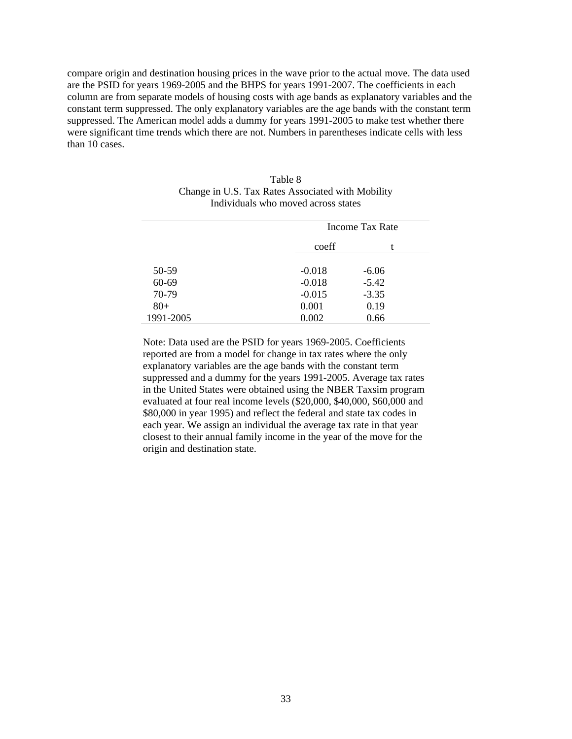compare origin and destination housing prices in the wave prior to the actual move. The data used are the PSID for years 1969-2005 and the BHPS for years 1991-2007. The coefficients in each column are from separate models of housing costs with age bands as explanatory variables and the constant term suppressed. The only explanatory variables are the age bands with the constant term suppressed. The American model adds a dummy for years 1991-2005 to make test whether there were significant time trends which there are not. Numbers in parentheses indicate cells with less than 10 cases.

| mui viuuus (viiv mo võu aeross states | Income Tax Rate |         |  |  |  |
|---------------------------------------|-----------------|---------|--|--|--|
|                                       | coeff           |         |  |  |  |
| 50-59                                 | $-0.018$        | $-6.06$ |  |  |  |
| 60-69                                 | $-0.018$        | $-5.42$ |  |  |  |
| 70-79                                 | $-0.015$        | $-3.35$ |  |  |  |
| $80+$                                 | 0.001           | 0.19    |  |  |  |
| 1991-2005                             | 0.002           | 0.66    |  |  |  |

| Table 8                                           |  |  |  |  |  |  |  |
|---------------------------------------------------|--|--|--|--|--|--|--|
| Change in U.S. Tax Rates Associated with Mobility |  |  |  |  |  |  |  |
| Individuals who moved across states               |  |  |  |  |  |  |  |

Note: Data used are the PSID for years 1969-2005. Coefficients reported are from a model for change in tax rates where the only explanatory variables are the age bands with the constant term suppressed and a dummy for the years 1991-2005. Average tax rates in the United States were obtained using the NBER Taxsim program evaluated at four real income levels (\$20,000, \$40,000, \$60,000 and \$80,000 in year 1995) and reflect the federal and state tax codes in each year. We assign an individual the average tax rate in that year closest to their annual family income in the year of the move for the origin and destination state.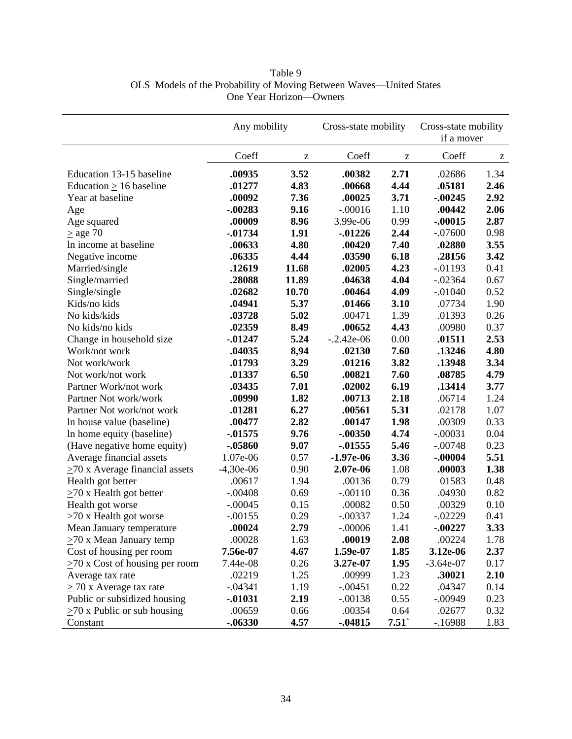|                                      | Any mobility |       | Cross-state mobility |      | Cross-state mobility<br>if a mover |      |
|--------------------------------------|--------------|-------|----------------------|------|------------------------------------|------|
|                                      | Coeff        | Z     | Coeff                | Z    | Coeff                              | Z    |
| Education 13-15 baseline             | .00935       | 3.52  | .00382               | 2.71 | .02686                             | 1.34 |
| Education $\geq 16$ baseline         | .01277       | 4.83  | .00668               | 4.44 | .05181                             | 2.46 |
| Year at baseline                     | .00092       | 7.36  | .00025               | 3.71 | $-0.00245$                         | 2.92 |
| Age                                  | $-0.00283$   | 9.16  | $-.00016$            | 1.10 | .00442                             | 2.06 |
| Age squared                          | .00009       | 8.96  | 3.99e-06             | 0.99 | $-.00015$                          | 2.87 |
| $\geq$ age 70                        | $-0.01734$   | 1.91  | $-0.01226$           | 2.44 | $-.07600$                          | 0.98 |
| In income at baseline                | .00633       | 4.80  | .00420               | 7.40 | .02880                             | 3.55 |
| Negative income                      | .06335       | 4.44  | .03590               | 6.18 | .28156                             | 3.42 |
| Married/single                       | .12619       | 11.68 | .02005               | 4.23 | $-0.01193$                         | 0.41 |
| Single/married                       | .28088       | 11.89 | .04638               | 4.04 | $-.02364$                          | 0.67 |
| Single/single                        | .02682       | 10.70 | .00464               | 4.09 | $-.01040$                          | 0.52 |
| Kids/no kids                         | .04941       | 5.37  | .01466               | 3.10 | .07734                             | 1.90 |
| No kids/kids                         | .03728       | 5.02  | .00471               | 1.39 | .01393                             | 0.26 |
| No kids/no kids                      | .02359       | 8.49  | .00652               | 4.43 | .00980                             | 0.37 |
| Change in household size             | $-0.01247$   | 5.24  | $-.2.42e-06$         | 0.00 | .01511                             | 2.53 |
| Work/not work                        | .04035       | 8,94  | .02130               | 7.60 | .13246                             | 4.80 |
| Not work/work                        | .01793       | 3.29  | .01216               | 3.82 | .13948                             | 3.34 |
| Not work/not work                    | .01337       | 6.50  | .00821               | 7.60 | .08785                             | 4.79 |
| Partner Work/not work                | .03435       | 7.01  | .02002               | 6.19 | .13414                             | 3.77 |
| Partner Not work/work                | .00990       | 1.82  | .00713               | 2.18 | .06714                             | 1.24 |
| Partner Not work/not work            | .01281       | 6.27  | .00561               | 5.31 | .02178                             | 1.07 |
| In house value (baseline)            | .00477       | 2.82  | .00147               | 1.98 | .00309                             | 0.33 |
| In home equity (baseline)            | $-0.01575$   | 9.76  | $-.00350$            | 4.74 | $-.00031$                          | 0.04 |
| (Have negative home equity)          | $-.05860$    | 9.07  | $-0.01555$           | 5.46 | $-.00748$                          | 0.23 |
| Average financial assets             | 1.07e-06     | 0.57  | $-1.97e-06$          | 3.36 | $-.00004$                          | 5.51 |
| $\geq$ 70 x Average financial assets | $-4,30e-06$  | 0.90  | 2.07e-06             | 1.08 | .00003                             | 1.38 |
| Health got better                    | .00617       | 1.94  | .00136               | 0.79 | 01583                              | 0.48 |
| $\geq$ 70 x Health got better        | $-.00408$    | 0.69  | $-.00110$            | 0.36 | .04930                             | 0.82 |
| Health got worse                     | $-.00045$    | 0.15  | .00082               | 0.50 | .00329                             | 0.10 |
| $\geq$ 70 x Health got worse         | $-.00155$    | 0.29  | $-.00337$            | 1.24 | $-.02229$                          | 0.41 |
| Mean January temperature             | .00024       | 2.79  | $-.00006$            | 1.41 | $-.00227$                          | 3.33 |
| $\geq$ 70 x Mean January temp        | .00028       | 1.63  | .00019               | 2.08 | .00224                             | 1.78 |
| Cost of housing per room             | 7.56e-07     | 4.67  | 1.59e-07             | 1.85 | 3.12e-06                           | 2.37 |
| $\geq$ 70 x Cost of housing per room | 7.44e-08     | 0.26  | 3.27e-07             | 1.95 | $-3.64e-07$                        | 0.17 |
| Average tax rate                     | .02219       | 1.25  | .00999               | 1.23 | .30021                             | 2.10 |
| $\geq$ 70 x Average tax rate         | $-.04341$    | 1.19  | $-.00451$            | 0.22 | .04347                             | 0.14 |
| Public or subsidized housing         | $-0.01031$   | 2.19  | $-.00138$            | 0.55 | $-.00949$                          | 0.23 |
| $\geq$ 70 x Public or sub housing    | .00659       | 0.66  | .00354               | 0.64 | .02677                             | 0.32 |
| Constant                             | $-.06330$    | 4.57  | $-0.04815$           | 7.51 | $-16988$                           | 1.83 |

Table 9 OLS Models of the Probability of Moving Between Waves—United States One Year Horizon—Owners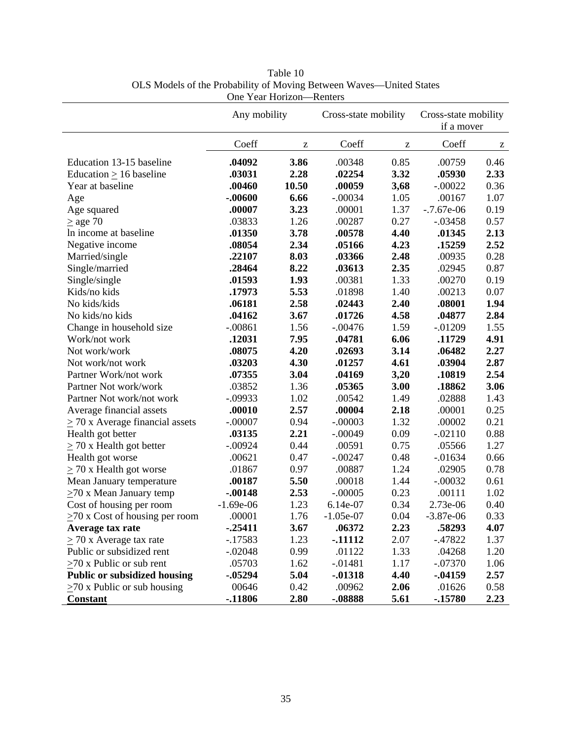| One rear fronzon—Remers              |                                      |       |             |      |                      |      |  |  |
|--------------------------------------|--------------------------------------|-------|-------------|------|----------------------|------|--|--|
|                                      | Any mobility<br>Cross-state mobility |       |             |      | Cross-state mobility |      |  |  |
|                                      |                                      |       | if a mover  |      |                      |      |  |  |
|                                      | Coeff                                | Z     | Coeff       | Z    | Coeff                | z    |  |  |
| Education 13-15 baseline             | .04092                               | 3.86  | .00348      | 0.85 | .00759               | 0.46 |  |  |
| Education $\geq 16$ baseline         | .03031                               | 2.28  | .02254      | 3.32 | .05930               | 2.33 |  |  |
| Year at baseline                     | .00460                               | 10.50 | .00059      | 3,68 | $-.00022$            | 0.36 |  |  |
| Age                                  | $-.00600$                            | 6.66  | $-.00034$   | 1.05 | .00167               | 1.07 |  |  |
| Age squared                          | .00007                               | 3.23  | .00001      | 1.37 | $-.7.67e-06$         | 0.19 |  |  |
| $\geq$ age 70                        | .03833                               | 1.26  | .00287      | 0.27 | $-.03458$            | 0.57 |  |  |
| In income at baseline                | .01350                               | 3.78  | .00578      | 4.40 | .01345               | 2.13 |  |  |
| Negative income                      | .08054                               | 2.34  | .05166      | 4.23 | .15259               | 2.52 |  |  |
| Married/single                       | .22107                               | 8.03  | .03366      | 2.48 | .00935               | 0.28 |  |  |
| Single/married                       | .28464                               | 8.22  | .03613      | 2.35 | .02945               | 0.87 |  |  |
| Single/single                        | .01593                               | 1.93  | .00381      | 1.33 | .00270               | 0.19 |  |  |
| Kids/no kids                         | .17973                               | 5.53  | .01898      | 1.40 | .00213               | 0.07 |  |  |
| No kids/kids                         | .06181                               | 2.58  | .02443      | 2.40 | .08001               | 1.94 |  |  |
| No kids/no kids                      | .04162                               | 3.67  | .01726      | 4.58 | .04877               | 2.84 |  |  |
| Change in household size             | $-.00861$                            | 1.56  | $-.00476$   | 1.59 | $-.01209$            | 1.55 |  |  |
| Work/not work                        | .12031                               | 7.95  | .04781      | 6.06 | .11729               | 4.91 |  |  |
| Not work/work                        | .08075                               | 4.20  | .02693      | 3.14 | .06482               | 2.27 |  |  |
| Not work/not work                    | .03203                               | 4.30  | .01257      | 4.61 | .03904               | 2.87 |  |  |
| Partner Work/not work                | .07355                               | 3.04  | .04169      | 3,20 | .10819               | 2.54 |  |  |
| Partner Not work/work                | .03852                               | 1.36  | .05365      | 3.00 | .18862               | 3.06 |  |  |
| Partner Not work/not work            | $-.09933$                            | 1.02  | .00542      | 1.49 | .02888               | 1.43 |  |  |
| Average financial assets             | .00010                               | 2.57  | .00004      | 2.18 | .00001               | 0.25 |  |  |
| $\geq$ 70 x Average financial assets | $-.00007$                            | 0.94  | $-.00003$   | 1.32 | .00002               | 0.21 |  |  |
| Health got better                    | .03135                               | 2.21  | $-.00049$   | 0.09 | $-.02110$            | 0.88 |  |  |
| $\geq$ 70 x Health got better        | $-.00924$                            | 0.44  | .00591      | 0.75 | .05566               | 1.27 |  |  |
| Health got worse                     | .00621                               | 0.47  | $-.00247$   | 0.48 | $-0.01634$           | 0.66 |  |  |
| $\geq$ 70 x Health got worse         | .01867                               | 0.97  | .00887      | 1.24 | .02905               | 0.78 |  |  |
| Mean January temperature             | .00187                               | 5.50  | .00018      | 1.44 | $-.00032$            | 0.61 |  |  |
| $\geq$ 70 x Mean January temp        | $-.00148$                            | 2.53  | $-.00005$   | 0.23 | .00111               | 1.02 |  |  |
| Cost of housing per room             | $-1.69e-06$                          | 1.23  | 6.14e-07    | 0.34 | 2.73e-06             | 0.40 |  |  |
| $\geq$ 70 x Cost of housing per room | .00001                               | 1.76  | $-1.05e-07$ | 0.04 | $-3.87e-06$          | 0.33 |  |  |
| Average tax rate                     | $-25411$                             | 3.67  | .06372      | 2.23 | .58293               | 4.07 |  |  |
| $>$ 70 x Average tax rate            | $-17583$                             | 1.23  | $-11112$    | 2.07 | $-0.47822$           | 1.37 |  |  |
| Public or subsidized rent            | $-.02048$                            | 0.99  | .01122      | 1.33 | .04268               | 1.20 |  |  |
| $\geq$ 70 x Public or sub rent       | .05703                               | 1.62  | $-.01481$   | 1.17 | $-.07370$            | 1.06 |  |  |
| <b>Public or subsidized housing</b>  | $-05294$                             | 5.04  | $-0.01318$  | 4.40 | $-.04159$            | 2.57 |  |  |
| $\geq$ 70 x Public or sub housing    | 00646                                | 0.42  | .00962      | 2.06 | .01626               | 0.58 |  |  |
| <b>Constant</b>                      | $-11806$                             | 2.80  | $-.08888$   | 5.61 | $-15780$             | 2.23 |  |  |

Table 10 OLS Models of the Probability of Moving Between Waves—United States One Year Horizon—Renters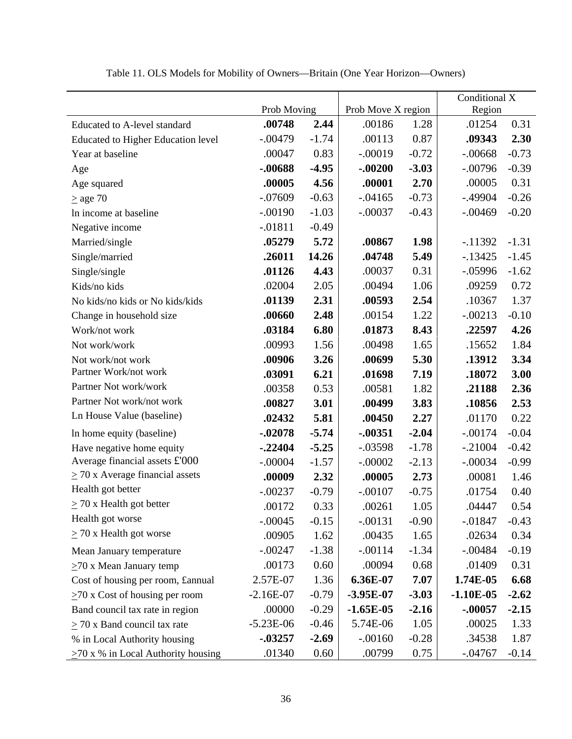|                                           | Prob Moving |         | Prob Move X region |         | Conditional X<br>Region |         |
|-------------------------------------------|-------------|---------|--------------------|---------|-------------------------|---------|
| Educated to A-level standard              | .00748      | 2.44    | .00186<br>1.28     |         | .01254                  | 0.31    |
| <b>Educated to Higher Education level</b> | $-.00479$   | $-1.74$ | .00113             | 0.87    | .09343                  | 2.30    |
| Year at baseline                          | .00047      | 0.83    | $-.00019$          | $-0.72$ | $-.00668$               | $-0.73$ |
| Age                                       | $-.00688$   | $-4.95$ | $-.00200$          | $-3.03$ | $-.00796$               | $-0.39$ |
| Age squared                               | .00005      | 4.56    | .00001             | 2.70    | .00005                  | 0.31    |
| $\geq$ age 70                             | $-.07609$   | $-0.63$ | $-.04165$          | $-0.73$ | $-.49904$               | $-0.26$ |
| In income at baseline                     | $-.00190$   | $-1.03$ | $-.00037$          | $-0.43$ | $-.00469$               | $-0.20$ |
| Negative income                           | $-.01811$   | $-0.49$ |                    |         |                         |         |
| Married/single                            | .05279      | 5.72    | .00867             | 1.98    | $-11392$                | $-1.31$ |
| Single/married                            | .26011      | 14.26   | .04748             | 5.49    | $-13425$                | $-1.45$ |
| Single/single                             | .01126      | 4.43    | .00037             | 0.31    | $-.05996$               | $-1.62$ |
| Kids/no kids                              | .02004      | 2.05    | .00494             | 1.06    | .09259                  | 0.72    |
| No kids/no kids or No kids/kids           | .01139      | 2.31    | .00593             | 2.54    | .10367                  | 1.37    |
| Change in household size                  | .00660      | 2.48    | .00154             | 1.22    | $-.00213$               | $-0.10$ |
| Work/not work                             | .03184      | 6.80    | .01873             | 8.43    | .22597                  | 4.26    |
| Not work/work                             | .00993      | 1.56    | .00498             | 1.65    | .15652                  | 1.84    |
| Not work/not work                         | .00906      | 3.26    | .00699             | 5.30    | .13912                  | 3.34    |
| Partner Work/not work                     | .03091      | 6.21    | .01698             | 7.19    | .18072                  | 3.00    |
| Partner Not work/work                     | .00358      | 0.53    | .00581             | 1.82    | .21188                  | 2.36    |
| Partner Not work/not work                 | .00827      | 3.01    | .00499             | 3.83    | .10856                  | 2.53    |
| Ln House Value (baseline)                 | .02432      | 5.81    | .00450             | 2.27    | .01170                  | 0.22    |
| In home equity (baseline)                 | $-.02078$   | $-5.74$ | $-.00351$          | $-2.04$ | $-.00174$               | $-0.04$ |
| Have negative home equity                 | $-.22404$   | $-5.25$ | $-.03598$          | $-1.78$ | $-.21004$               | $-0.42$ |
| Average financial assets £'000            | $-.00004$   | $-1.57$ | $-.00002$          | $-2.13$ | $-.00034$               | $-0.99$ |
| $\geq$ 70 x Average financial assets      | .00009      | 2.32    | .00005             | 2.73    | .00081                  | 1.46    |
| Health got better                         | $-.00237$   | $-0.79$ | $-.00107$          | $-0.75$ | .01754                  | 0.40    |
| $\geq$ 70 x Health got better             | .00172      | 0.33    | .00261             | 1.05    | .04447                  | 0.54    |
| Health got worse                          | $-.00045$   | $-0.15$ | $-.00131$          | $-0.90$ | $-0.01847$              | $-0.43$ |
| $\geq$ 70 x Health got worse              | .00905      | 1.62    | .00435             | 1.65    | .02634                  | 0.34    |
| Mean January temperature                  | $-.00247$   | $-1.38$ | $-.00114$          | $-1.34$ | $-.00484$               | $-0.19$ |
| $\geq$ 70 x Mean January temp             | .00173      | 0.60    | .00094             | 0.68    | .01409                  | 0.31    |
| Cost of housing per room, £annual         | 2.57E-07    | 1.36    | 6.36E-07           | 7.07    | 1.74E-05                | 6.68    |
| $\geq$ 70 x Cost of housing per room      | $-2.16E-07$ | $-0.79$ | $-3.95E-07$        | $-3.03$ | $-1.10E-05$             | $-2.62$ |
| Band council tax rate in region           | .00000      | $-0.29$ | $-1.65E-05$        | $-2.16$ | $-.00057$               | $-2.15$ |
| $\geq$ 70 x Band council tax rate         | $-5.23E-06$ | $-0.46$ | 5.74E-06           | 1.05    | .00025                  | 1.33    |
| % in Local Authority housing              | $-.03257$   | $-2.69$ | $-.00160$          | $-0.28$ | .34538                  | 1.87    |
| $\geq$ 70 x % in Local Authority housing  | .01340      | 0.60    | .00799             | 0.75    | $-.04767$               | $-0.14$ |

Table 11. OLS Models for Mobility of Owners—Britain (One Year Horizon—Owners)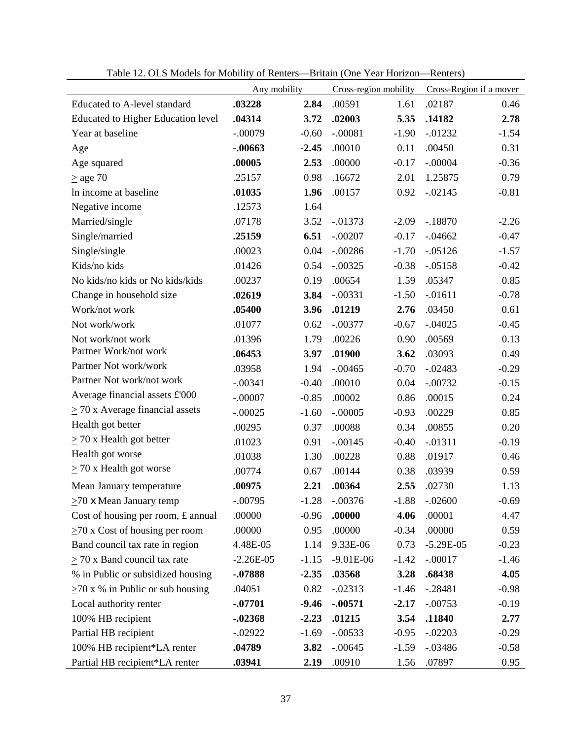| Lavie 12. OLS MOUCIS FOL MOUTHLY OF RETRES—DITION (OIIC Teat HOLIZON—RETRETS) | Any mobility |         | Cross-region mobility |         | Cross-Region if a mover |         |
|-------------------------------------------------------------------------------|--------------|---------|-----------------------|---------|-------------------------|---------|
| Educated to A-level standard                                                  | .03228       | 2.84    | .00591                | 1.61    | .02187                  | 0.46    |
| Educated to Higher Education level                                            | .04314       | 3.72    | .02003                | 5.35    | .14182                  | 2.78    |
| Year at baseline                                                              | $-.00079$    | $-0.60$ | $-.00081$             | $-1.90$ | $-0.01232$              | $-1.54$ |
| Age                                                                           | $-.00663$    | $-2.45$ | .00010                | 0.11    | .00450                  | 0.31    |
| Age squared                                                                   | .00005       | 2.53    | .00000                | $-0.17$ | $-.00004$               | $-0.36$ |
| $\geq$ age 70                                                                 | .25157       | 0.98    | .16672                | 2.01    | 1.25875                 | 0.79    |
| In income at baseline                                                         | .01035       | 1.96    | .00157                | 0.92    | $-.02145$               | $-0.81$ |
| Negative income                                                               | .12573       | 1.64    |                       |         |                         |         |
| Married/single                                                                | .07178       | 3.52    | $-0.01373$            | $-2.09$ | $-.18870$               | $-2.26$ |
| Single/married                                                                | .25159       | 6.51    | $-.00207$             | $-0.17$ | $-0.04662$              | $-0.47$ |
| Single/single                                                                 | .00023       | 0.04    | $-.00286$             | $-1.70$ | $-.05126$               | $-1.57$ |
| Kids/no kids                                                                  | .01426       | 0.54    | $-.00325$             | $-0.38$ | $-.05158$               | $-0.42$ |
| No kids/no kids or No kids/kids                                               | .00237       | 0.19    | .00654                | 1.59    | .05347                  | 0.85    |
| Change in household size                                                      | .02619       | 3.84    | $-.00331$             | $-1.50$ | $-.01611$               | $-0.78$ |
| Work/not work                                                                 | .05400       | 3.96    | .01219                | 2.76    | .03450                  | 0.61    |
| Not work/work                                                                 | .01077       | 0.62    | $-.00377$             | $-0.67$ | $-.04025$               | $-0.45$ |
| Not work/not work                                                             | .01396       | 1.79    | .00226                | 0.90    | .00569                  | 0.13    |
| Partner Work/not work                                                         | .06453       | 3.97    | .01900                | 3.62    | .03093                  | 0.49    |
| Partner Not work/work                                                         | .03958       | 1.94    | $-.00465$             | $-0.70$ | $-.02483$               | $-0.29$ |
| Partner Not work/not work                                                     | $-.00341$    | $-0.40$ | .00010                | 0.04    | $-.00732$               | $-0.15$ |
| Average financial assets £'000                                                | $-.00007$    | $-0.85$ | .00002                | 0.86    | .00015                  | 0.24    |
| $\geq$ 70 x Average financial assets                                          | $-.00025$    | $-1.60$ | $-.00005$             | $-0.93$ | .00229                  | 0.85    |
| Health got better                                                             | .00295       | 0.37    | .00088                | 0.34    | .00855                  | 0.20    |
| $\geq$ 70 x Health got better                                                 | .01023       | 0.91    | $-.00145$             | $-0.40$ | $-.01311$               | $-0.19$ |
| Health got worse                                                              | .01038       | 1.30    | .00228                | 0.88    | .01917                  | 0.46    |
| $\geq$ 70 x Health got worse                                                  | .00774       | 0.67    | .00144                | 0.38    | .03939                  | 0.59    |
| Mean January temperature                                                      | .00975       | 2.21    | .00364                | 2.55    | .02730                  | 1.13    |
| $\geq$ 70 x Mean January temp                                                 | $-.00795$    | $-1.28$ | $-.00376$             | $-1.88$ | $-.02600$               | $-0.69$ |
| Cost of housing per room, £ annual                                            | .00000       | $-0.96$ | .00000                | 4.06    | .00001                  | 4.47    |
| $\geq$ 70 x Cost of housing per room                                          | .00000       | 0.95    | .00000                | $-0.34$ | .00000                  | 0.59    |
| Band council tax rate in region                                               | 4.48E-05     | 1.14    | 9.33E-06              | 0.73    | $-5.29E-05$             | $-0.23$ |
| $\geq$ 70 x Band council tax rate                                             | $-2.26E-05$  | $-1.15$ | $-9.01E-06$           | $-1.42$ | $-.00017$               | $-1.46$ |
| % in Public or subsidized housing                                             | $-.07888$    | $-2.35$ | .03568                | 3.28    | .68438                  | 4.05    |
| $\geq$ 70 x % in Public or sub housing                                        | .04051       | 0.82    | $-.02313$             | $-1.46$ | $-.28481$               | $-0.98$ |
| Local authority renter                                                        | $-.07701$    | $-9.46$ | $-.00571$             | $-2.17$ | $-.00753$               | $-0.19$ |
| 100% HB recipient                                                             | $-.02368$    | $-2.23$ | .01215                | 3.54    | .11840                  | 2.77    |
| Partial HB recipient                                                          | $-.02922$    | $-1.69$ | $-.00533$             | $-0.95$ | $-.02203$               | $-0.29$ |
| 100% HB recipient*LA renter                                                   | .04789       | 3.82    | $-.00645$             | $-1.59$ | $-.03486$               | $-0.58$ |
| Partial HB recipient*LA renter                                                | .03941       | 2.19    | .00910                | 1.56    | .07897                  | 0.95    |

Table 12. OLS Models for Mobility of Renters—Britain (One Year Horizon—Renters)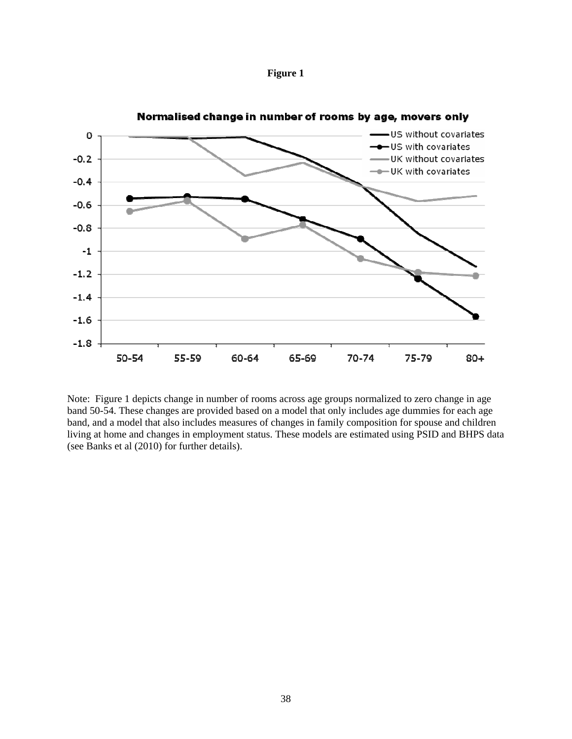



Normalised change in number of rooms by age, movers only

Note: Figure 1 depicts change in number of rooms across age groups normalized to zero change in age band 50-54. These changes are provided based on a model that only includes age dummies for each age band, and a model that also includes measures of changes in family composition for spouse and children living at home and changes in employment status. These models are estimated using PSID and BHPS data (see Banks et al (2010) for further details).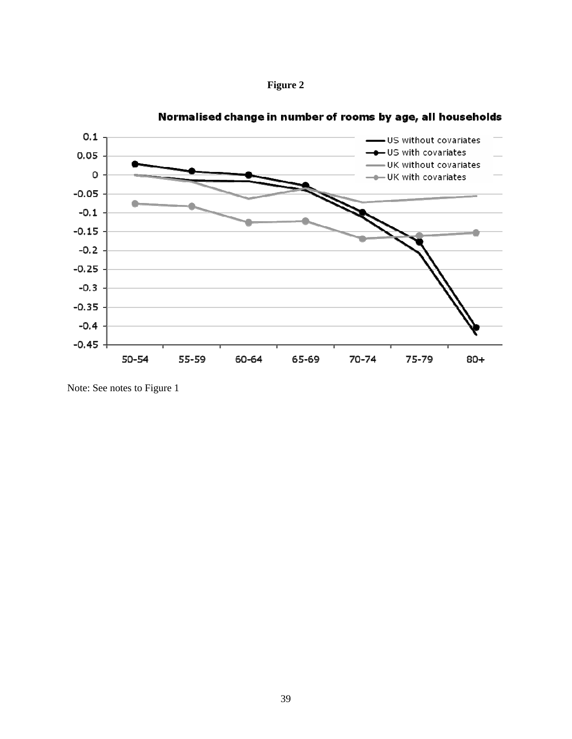



Normalised change in number of rooms by age, all households

Note: See notes to Figure 1